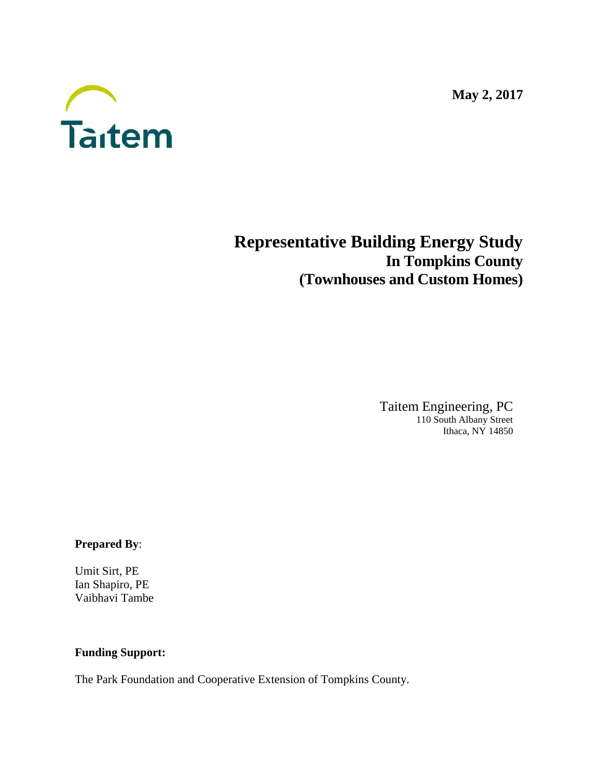**May 2, 2017**



# **Representative Building Energy Study In Tompkins County (Townhouses and Custom Homes)**

Taitem Engineering, PC 110 South Albany Street Ithaca, NY 14850

**Prepared By**:

Umit Sirt, PE Ian Shapiro, PE Vaibhavi Tambe

# **Funding Support:**

The Park Foundation and Cooperative Extension of Tompkins County.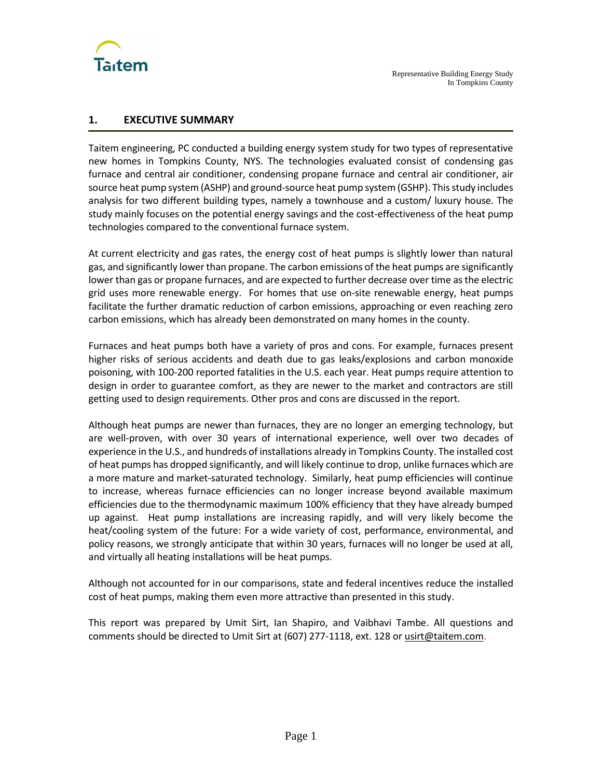

# **1. EXECUTIVE SUMMARY**

Taitem engineering, PC conducted a building energy system study for two types of representative new homes in Tompkins County, NYS. The technologies evaluated consist of condensing gas furnace and central air conditioner, condensing propane furnace and central air conditioner, air source heat pump system (ASHP) and ground-source heat pump system (GSHP). This study includes analysis for two different building types, namely a townhouse and a custom/ luxury house. The study mainly focuses on the potential energy savings and the cost-effectiveness of the heat pump technologies compared to the conventional furnace system.

At current electricity and gas rates, the energy cost of heat pumps is slightly lower than natural gas, and significantly lower than propane. The carbon emissions of the heat pumps are significantly lower than gas or propane furnaces, and are expected to further decrease over time as the electric grid uses more renewable energy. For homes that use on-site renewable energy, heat pumps facilitate the further dramatic reduction of carbon emissions, approaching or even reaching zero carbon emissions, which has already been demonstrated on many homes in the county.

Furnaces and heat pumps both have a variety of pros and cons. For example, furnaces present higher risks of serious accidents and death due to gas leaks/explosions and carbon monoxide poisoning, with 100-200 reported fatalities in the U.S. each year. Heat pumps require attention to design in order to guarantee comfort, as they are newer to the market and contractors are still getting used to design requirements. Other pros and cons are discussed in the report.

Although heat pumps are newer than furnaces, they are no longer an emerging technology, but are well-proven, with over 30 years of international experience, well over two decades of experience in the U.S., and hundreds of installations already in Tompkins County. The installed cost of heat pumps has dropped significantly, and will likely continue to drop, unlike furnaces which are a more mature and market-saturated technology. Similarly, heat pump efficiencies will continue to increase, whereas furnace efficiencies can no longer increase beyond available maximum efficiencies due to the thermodynamic maximum 100% efficiency that they have already bumped up against. Heat pump installations are increasing rapidly, and will very likely become the heat/cooling system of the future: For a wide variety of cost, performance, environmental, and policy reasons, we strongly anticipate that within 30 years, furnaces will no longer be used at all, and virtually all heating installations will be heat pumps.

Although not accounted for in our comparisons, state and federal incentives reduce the installed cost of heat pumps, making them even more attractive than presented in this study.

This report was prepared by Umit Sirt, Ian Shapiro, and Vaibhavi Tambe. All questions and comments should be directed to Umit Sirt at (607) 277-1118, ext. 128 o[r usirt@taitem.com.](mailto:usirt@taitem.com)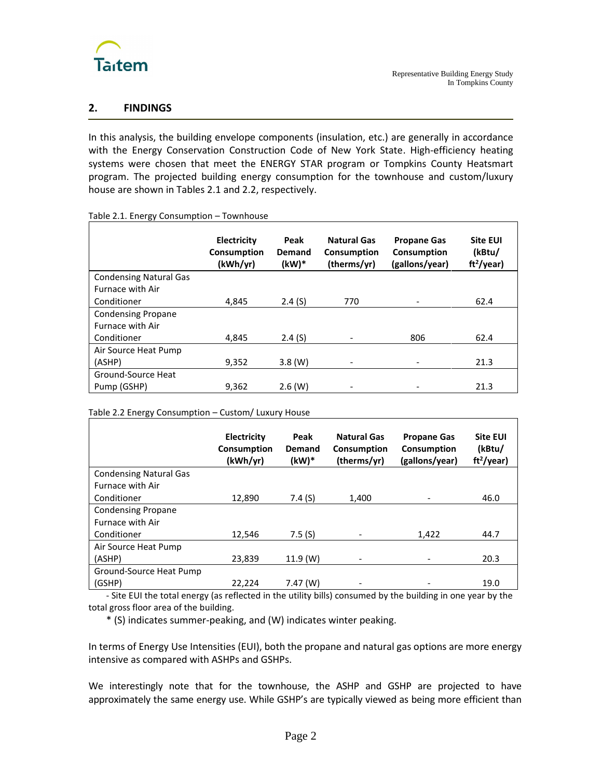

# **2. FINDINGS**

In this analysis, the building envelope components (insulation, etc.) are generally in accordance with the Energy Conservation Construction Code of New York State. High-efficiency heating systems were chosen that meet the ENERGY STAR program or Tompkins County Heatsmart program. The projected building energy consumption for the townhouse and custom/luxury house are shown in Tables 2.1 and 2.2, respectively.

| Table 2.1. Energy Consumption - Townhouse |
|-------------------------------------------|
|-------------------------------------------|

|                               | <b>Electricity</b><br>Consumption<br>(kWh/yr) | Peak<br>Demand<br>(kW)* | <b>Natural Gas</b><br>Consumption<br>(therms/yr) | <b>Propane Gas</b><br>Consumption<br>(gallons/year) | <b>Site EUI</b><br>(kBtu/<br>ft <sup>2</sup> /year) |
|-------------------------------|-----------------------------------------------|-------------------------|--------------------------------------------------|-----------------------------------------------------|-----------------------------------------------------|
| <b>Condensing Natural Gas</b> |                                               |                         |                                                  |                                                     |                                                     |
| <b>Furnace with Air</b>       |                                               |                         |                                                  |                                                     |                                                     |
| Conditioner                   | 4.845                                         | 2.4(S)                  | 770                                              |                                                     | 62.4                                                |
| <b>Condensing Propane</b>     |                                               |                         |                                                  |                                                     |                                                     |
| Furnace with Air              |                                               |                         |                                                  |                                                     |                                                     |
| Conditioner                   | 4,845                                         | 2.4(S)                  |                                                  | 806                                                 | 62.4                                                |
| Air Source Heat Pump          |                                               |                         |                                                  |                                                     |                                                     |
| (ASHP)                        | 9,352                                         | $3.8$ (W)               |                                                  |                                                     | 21.3                                                |
| Ground-Source Heat            |                                               |                         |                                                  |                                                     |                                                     |
| Pump (GSHP)                   | 9,362                                         | $2.6$ (W)               |                                                  |                                                     | 21.3                                                |

Table 2.2 Energy Consumption – Custom/ Luxury House

|                               | Electricity<br>Consumption<br>(kWh/yr) | Peak<br>Demand<br>(kW)* | <b>Natural Gas</b><br>Consumption<br>(therms/yr) | <b>Propane Gas</b><br>Consumption<br>(gallons/year) | <b>Site EUI</b><br>(kBtu/<br>$ft^2$ /year) |
|-------------------------------|----------------------------------------|-------------------------|--------------------------------------------------|-----------------------------------------------------|--------------------------------------------|
| <b>Condensing Natural Gas</b> |                                        |                         |                                                  |                                                     |                                            |
| <b>Furnace with Air</b>       |                                        |                         |                                                  |                                                     |                                            |
| Conditioner                   | 12,890                                 | 7.4(S)                  | 1,400                                            |                                                     | 46.0                                       |
| <b>Condensing Propane</b>     |                                        |                         |                                                  |                                                     |                                            |
| <b>Furnace with Air</b>       |                                        |                         |                                                  |                                                     |                                            |
| Conditioner                   | 12.546                                 | 7.5(S)                  |                                                  | 1,422                                               | 44.7                                       |
| Air Source Heat Pump          |                                        |                         |                                                  |                                                     |                                            |
| (ASHP)                        | 23.839                                 | 11.9 (W)                |                                                  |                                                     | 20.3                                       |
| Ground-Source Heat Pump       |                                        |                         |                                                  |                                                     |                                            |
| (GSHP)                        | 22.224                                 | $7.47$ (W)              |                                                  |                                                     | 19.0                                       |

- Site EUI the total energy (as reflected in the utility bills) consumed by the building in one year by the total gross floor area of the building.

\* (S) indicates summer-peaking, and (W) indicates winter peaking.

In terms of Energy Use Intensities (EUI), both the propane and natural gas options are more energy intensive as compared with ASHPs and GSHPs.

We interestingly note that for the townhouse, the ASHP and GSHP are projected to have approximately the same energy use. While GSHP's are typically viewed as being more efficient than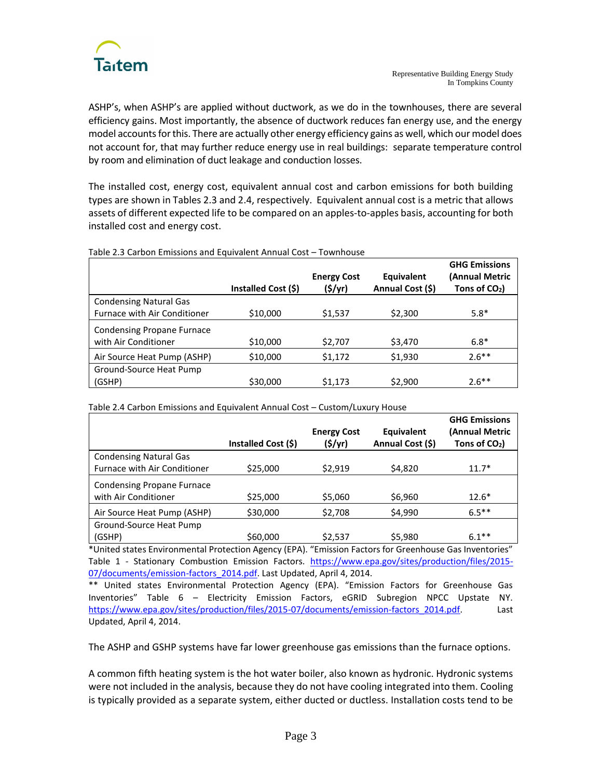

ASHP's, when ASHP's are applied without ductwork, as we do in the townhouses, there are several efficiency gains. Most importantly, the absence of ductwork reduces fan energy use, and the energy model accounts for this. There are actually other energy efficiency gains as well, which our model does not account for, that may further reduce energy use in real buildings: separate temperature control by room and elimination of duct leakage and conduction losses.

The installed cost, energy cost, equivalent annual cost and carbon emissions for both building types are shown in Tables 2.3 and 2.4, respectively. Equivalent annual cost is a metric that allows assets of different expected life to be compared on an apples-to-apples basis, accounting for both installed cost and energy cost.

|                                   | Installed Cost (\$) | <b>Energy Cost</b><br>(5/yr) | Equivalent<br>Annual Cost (\$) | <b>GHG Emissions</b><br>(Annual Metric<br>Tons of $CO2$ ) |
|-----------------------------------|---------------------|------------------------------|--------------------------------|-----------------------------------------------------------|
| <b>Condensing Natural Gas</b>     |                     |                              |                                |                                                           |
| Furnace with Air Conditioner      | \$10,000            | \$1,537                      | \$2,300                        | $5.8*$                                                    |
| <b>Condensing Propane Furnace</b> |                     |                              |                                |                                                           |
| with Air Conditioner              | \$10,000            | \$2,707                      | \$3,470                        | $6.8*$                                                    |
| Air Source Heat Pump (ASHP)       | \$10,000            | \$1,172                      | \$1,930                        | $2.6***$                                                  |
| Ground-Source Heat Pump           |                     |                              |                                |                                                           |
| (GSHP)                            | \$30,000            | \$1,173                      | \$2,900                        | $2.6***$                                                  |

Table 2.3 Carbon Emissions and Equivalent Annual Cost – Townhouse

|                                     |                     |                    |                  | <b>GHG Emissions</b> |
|-------------------------------------|---------------------|--------------------|------------------|----------------------|
|                                     |                     | <b>Energy Cost</b> | Equivalent       | (Annual Metric       |
|                                     | Installed Cost (\$) | $($ \$/yr $)$      | Annual Cost (\$) | Tons of $CO2$ )      |
| <b>Condensing Natural Gas</b>       |                     |                    |                  |                      |
| <b>Furnace with Air Conditioner</b> | \$25,000            | \$2,919            | \$4,820          | $11.7*$              |
| <b>Condensing Propane Furnace</b>   |                     |                    |                  |                      |
| with Air Conditioner                | \$25,000            | \$5,060            | \$6,960          | $12.6*$              |
| Air Source Heat Pump (ASHP)         | \$30,000            | \$2,708            | \$4,990          | $6.5***$             |
| Ground-Source Heat Pump             |                     |                    |                  |                      |
| (GSHP)                              | \$60,000            | \$2,537            | \$5,980          | $6.1***$             |

Table 2.4 Carbon Emissions and Equivalent Annual Cost – Custom/Luxury House

\*United states Environmental Protection Agency (EPA). "Emission Factors for Greenhouse Gas Inventories" Table 1 - Stationary Combustion Emission Factors. [https://www.epa.gov/sites/production/files/2015-](https://www.epa.gov/sites/production/files/2015-07/documents/emission-factors_2014.pdf) 07/documents/emission-factors 2014.pdf. Last Updated, April 4, 2014.

\*\* United states Environmental Protection Agency (EPA). "Emission Factors for Greenhouse Gas Inventories" Table 6 – Electricity Emission Factors, eGRID Subregion NPCC Upstate NY. [https://www.epa.gov/sites/production/files/2015-07/documents/emission-factors\\_2014.pdf.](https://www.epa.gov/sites/production/files/2015-07/documents/emission-factors_2014.pdf) Last Updated, April 4, 2014.

The ASHP and GSHP systems have far lower greenhouse gas emissions than the furnace options.

A common fifth heating system is the hot water boiler, also known as hydronic. Hydronic systems were not included in the analysis, because they do not have cooling integrated into them. Cooling is typically provided as a separate system, either ducted or ductless. Installation costs tend to be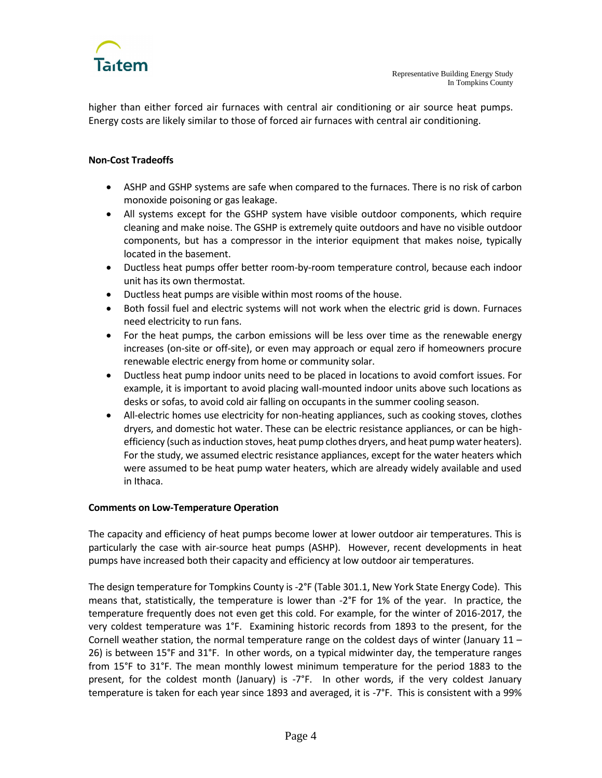

higher than either forced air furnaces with central air conditioning or air source heat pumps. Energy costs are likely similar to those of forced air furnaces with central air conditioning.

# **Non-Cost Tradeoffs**

- ASHP and GSHP systems are safe when compared to the furnaces. There is no risk of carbon monoxide poisoning or gas leakage.
- All systems except for the GSHP system have visible outdoor components, which require cleaning and make noise. The GSHP is extremely quite outdoors and have no visible outdoor components, but has a compressor in the interior equipment that makes noise, typically located in the basement.
- Ductless heat pumps offer better room-by-room temperature control, because each indoor unit has its own thermostat.
- Ductless heat pumps are visible within most rooms of the house.
- Both fossil fuel and electric systems will not work when the electric grid is down. Furnaces need electricity to run fans.
- For the heat pumps, the carbon emissions will be less over time as the renewable energy increases (on-site or off-site), or even may approach or equal zero if homeowners procure renewable electric energy from home or community solar.
- Ductless heat pump indoor units need to be placed in locations to avoid comfort issues. For example, it is important to avoid placing wall-mounted indoor units above such locations as desks or sofas, to avoid cold air falling on occupants in the summer cooling season.
- All-electric homes use electricity for non-heating appliances, such as cooking stoves, clothes dryers, and domestic hot water. These can be electric resistance appliances, or can be highefficiency (such as induction stoves, heat pump clothes dryers, and heat pump water heaters). For the study, we assumed electric resistance appliances, except for the water heaters which were assumed to be heat pump water heaters, which are already widely available and used in Ithaca.

# **Comments on Low-Temperature Operation**

The capacity and efficiency of heat pumps become lower at lower outdoor air temperatures. This is particularly the case with air-source heat pumps (ASHP). However, recent developments in heat pumps have increased both their capacity and efficiency at low outdoor air temperatures.

The design temperature for Tompkins County is -2°F (Table 301.1, New York State Energy Code). This means that, statistically, the temperature is lower than -2°F for 1% of the year. In practice, the temperature frequently does not even get this cold. For example, for the winter of 2016-2017, the very coldest temperature was 1°F. Examining historic records from 1893 to the present, for the Cornell weather station, the normal temperature range on the coldest days of winter (January 11 – 26) is between 15°F and 31°F. In other words, on a typical midwinter day, the temperature ranges from 15°F to 31°F. The mean monthly lowest minimum temperature for the period 1883 to the present, for the coldest month (January) is -7°F. In other words, if the very coldest January temperature is taken for each year since 1893 and averaged, it is -7°F. This is consistent with a 99%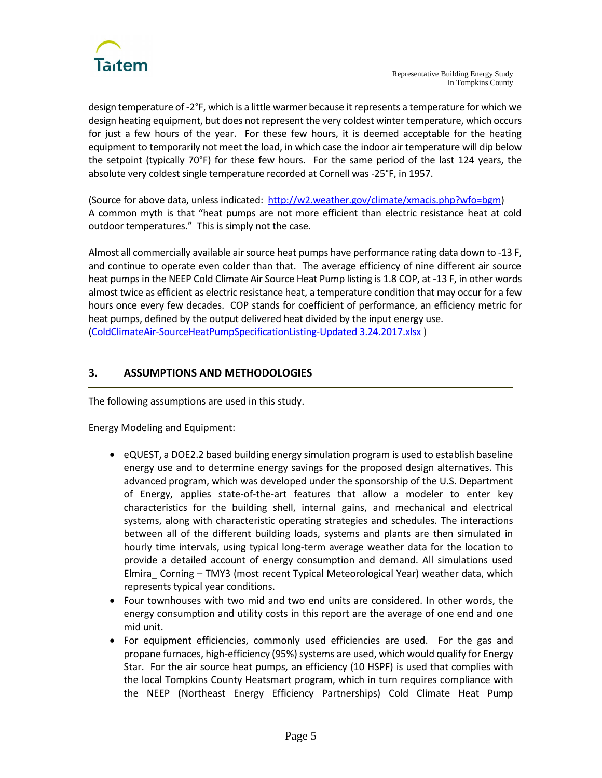

design temperature of -2°F, which is a little warmer because it represents a temperature for which we design heating equipment, but does not represent the very coldest winter temperature, which occurs for just a few hours of the year. For these few hours, it is deemed acceptable for the heating equipment to temporarily not meet the load, in which case the indoor air temperature will dip below the setpoint (typically 70°F) for these few hours. For the same period of the last 124 years, the absolute very coldest single temperature recorded at Cornell was -25°F, in 1957.

(Source for above data, unless indicated: [http://w2.weather.gov/climate/xmacis.php?wfo=bgm\)](http://w2.weather.gov/climate/xmacis.php?wfo=bgm) A common myth is that "heat pumps are not more efficient than electric resistance heat at cold outdoor temperatures." This is simply not the case.

Almost all commercially available air source heat pumps have performance rating data down to -13 F, and continue to operate even colder than that. The average efficiency of nine different air source heat pumps in the NEEP Cold Climate Air Source Heat Pump listing is 1.8 COP, at -13 F, in other words almost twice as efficient as electric resistance heat, a temperature condition that may occur for a few hours once every few decades. COP stands for coefficient of performance, an efficiency metric for heat pumps, defined by the output delivered heat divided by the input energy use. [\(ColdClimateAir-SourceHeatPumpSpecificationListing-Updated 3.24.2017.xlsx](http://neep.org/sites/default/files/ColdClimateAir-SourceHeatPumpSpecificationListing-Updated%203.24.2017.xlsx) )

# **3. ASSUMPTIONS AND METHODOLOGIES**

The following assumptions are used in this study.

Energy Modeling and Equipment:

- eQUEST, a DOE2.2 based building energy simulation program is used to establish baseline energy use and to determine energy savings for the proposed design alternatives. This advanced program, which was developed under the sponsorship of the U.S. Department of Energy, applies state-of-the-art features that allow a modeler to enter key characteristics for the building shell, internal gains, and mechanical and electrical systems, along with characteristic operating strategies and schedules. The interactions between all of the different building loads, systems and plants are then simulated in hourly time intervals, using typical long-term average weather data for the location to provide a detailed account of energy consumption and demand. All simulations used Elmira\_ Corning – TMY3 (most recent Typical Meteorological Year) weather data, which represents typical year conditions.
- Four townhouses with two mid and two end units are considered. In other words, the energy consumption and utility costs in this report are the average of one end and one mid unit.
- For equipment efficiencies, commonly used efficiencies are used. For the gas and propane furnaces, high-efficiency (95%) systems are used, which would qualify for Energy Star. For the air source heat pumps, an efficiency (10 HSPF) is used that complies with the local Tompkins County Heatsmart program, which in turn requires compliance with the NEEP (Northeast Energy Efficiency Partnerships) Cold Climate Heat Pump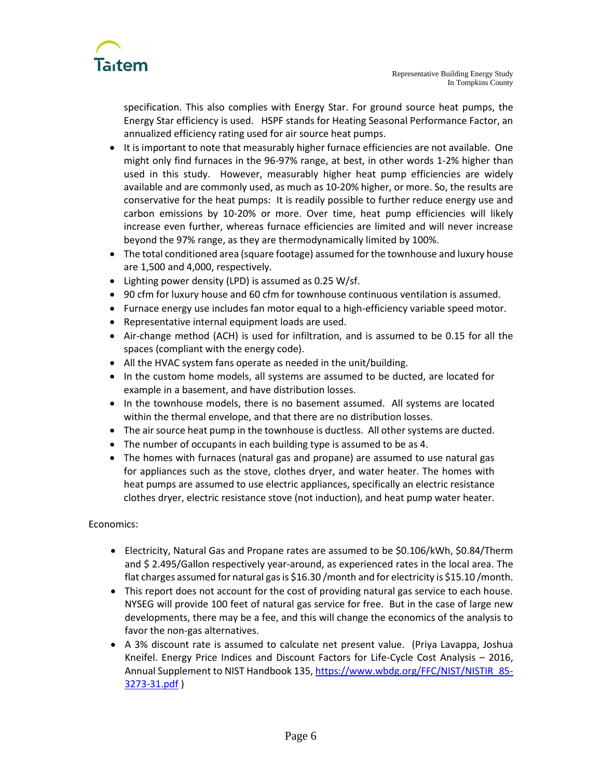

specification. This also complies with Energy Star. For ground source heat pumps, the Energy Star efficiency is used. HSPF stands for Heating Seasonal Performance Factor, an annualized efficiency rating used for air source heat pumps.

- It is important to note that measurably higher furnace efficiencies are not available. One might only find furnaces in the 96-97% range, at best, in other words 1-2% higher than used in this study. However, measurably higher heat pump efficiencies are widely available and are commonly used, as much as 10-20% higher, or more. So, the results are conservative for the heat pumps: It is readily possible to further reduce energy use and carbon emissions by 10-20% or more. Over time, heat pump efficiencies will likely increase even further, whereas furnace efficiencies are limited and will never increase beyond the 97% range, as they are thermodynamically limited by 100%.
- The total conditioned area (square footage) assumed for the townhouse and luxury house are 1,500 and 4,000, respectively.
- Lighting power density (LPD) is assumed as 0.25 W/sf.
- 90 cfm for luxury house and 60 cfm for townhouse continuous ventilation is assumed.
- Furnace energy use includes fan motor equal to a high-efficiency variable speed motor.
- Representative internal equipment loads are used.
- Air-change method (ACH) is used for infiltration, and is assumed to be 0.15 for all the spaces (compliant with the energy code).
- All the HVAC system fans operate as needed in the unit/building.
- In the custom home models, all systems are assumed to be ducted, are located for example in a basement, and have distribution losses.
- In the townhouse models, there is no basement assumed. All systems are located within the thermal envelope, and that there are no distribution losses.
- The air source heat pump in the townhouse is ductless. All other systems are ducted.
- The number of occupants in each building type is assumed to be as 4.
- The homes with furnaces (natural gas and propane) are assumed to use natural gas for appliances such as the stove, clothes dryer, and water heater. The homes with heat pumps are assumed to use electric appliances, specifically an electric resistance clothes dryer, electric resistance stove (not induction), and heat pump water heater.

# Economics:

- Electricity, Natural Gas and Propane rates are assumed to be \$0.106/kWh, \$0.84/Therm and \$ 2.495/Gallon respectively year-around, as experienced rates in the local area. The flat charges assumed for natural gas is \$16.30 /month and for electricity is \$15.10 /month.
- This report does not account for the cost of providing natural gas service to each house. NYSEG will provide 100 feet of natural gas service for free. But in the case of large new developments, there may be a fee, and this will change the economics of the analysis to favor the non-gas alternatives.
- A 3% discount rate is assumed to calculate net present value. (Priya Lavappa, Joshua Kneifel. Energy Price Indices and Discount Factors for Life-Cycle Cost Analysis – 2016, Annual Supplement to NIST Handbook 135, https://www.wbdg.org/FFC/NIST/NISTIR 85-[3273-31.pdf](https://www.wbdg.org/FFC/NIST/NISTIR_85-3273-31.pdf) )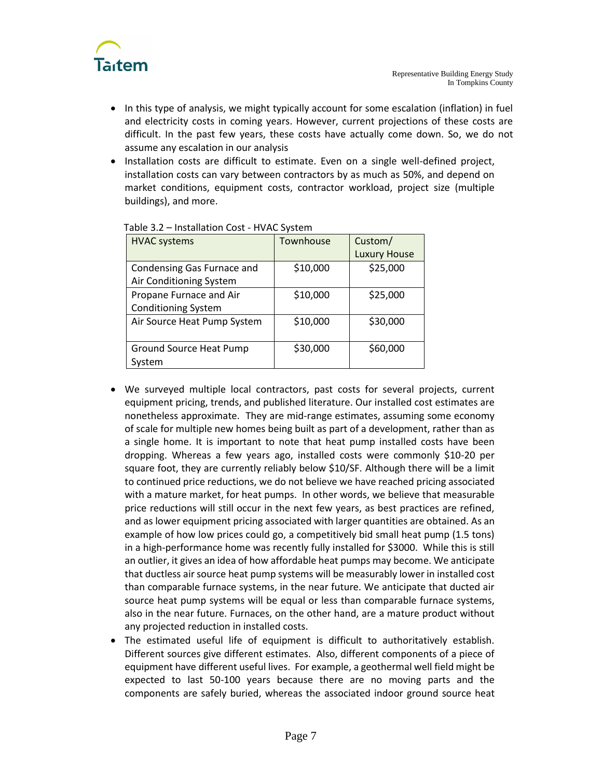

- In this type of analysis, we might typically account for some escalation (inflation) in fuel and electricity costs in coming years. However, current projections of these costs are difficult. In the past few years, these costs have actually come down. So, we do not assume any escalation in our analysis
- Installation costs are difficult to estimate. Even on a single well-defined project, installation costs can vary between contractors by as much as 50%, and depend on market conditions, equipment costs, contractor workload, project size (multiple buildings), and more.

| <b>HVAC systems</b>            | Townhouse | Custom/             |
|--------------------------------|-----------|---------------------|
|                                |           | <b>Luxury House</b> |
| Condensing Gas Furnace and     | \$10,000  | \$25,000            |
| Air Conditioning System        |           |                     |
| Propane Furnace and Air        | \$10,000  | \$25,000            |
| <b>Conditioning System</b>     |           |                     |
| Air Source Heat Pump System    | \$10,000  | \$30,000            |
|                                |           |                     |
| <b>Ground Source Heat Pump</b> | \$30,000  | \$60,000            |
| System                         |           |                     |

# Table 3.2 – Installation Cost - HVAC System

- We surveyed multiple local contractors, past costs for several projects, current equipment pricing, trends, and published literature. Our installed cost estimates are nonetheless approximate. They are mid-range estimates, assuming some economy of scale for multiple new homes being built as part of a development, rather than as a single home. It is important to note that heat pump installed costs have been dropping. Whereas a few years ago, installed costs were commonly \$10-20 per square foot, they are currently reliably below \$10/SF. Although there will be a limit to continued price reductions, we do not believe we have reached pricing associated with a mature market, for heat pumps. In other words, we believe that measurable price reductions will still occur in the next few years, as best practices are refined, and as lower equipment pricing associated with larger quantities are obtained. As an example of how low prices could go, a competitively bid small heat pump (1.5 tons) in a high-performance home was recently fully installed for \$3000. While this is still an outlier, it gives an idea of how affordable heat pumps may become. We anticipate that ductless air source heat pump systems will be measurably lower in installed cost than comparable furnace systems, in the near future. We anticipate that ducted air source heat pump systems will be equal or less than comparable furnace systems, also in the near future. Furnaces, on the other hand, are a mature product without any projected reduction in installed costs.
- The estimated useful life of equipment is difficult to authoritatively establish. Different sources give different estimates. Also, different components of a piece of equipment have different useful lives. For example, a geothermal well field might be expected to last 50-100 years because there are no moving parts and the components are safely buried, whereas the associated indoor ground source heat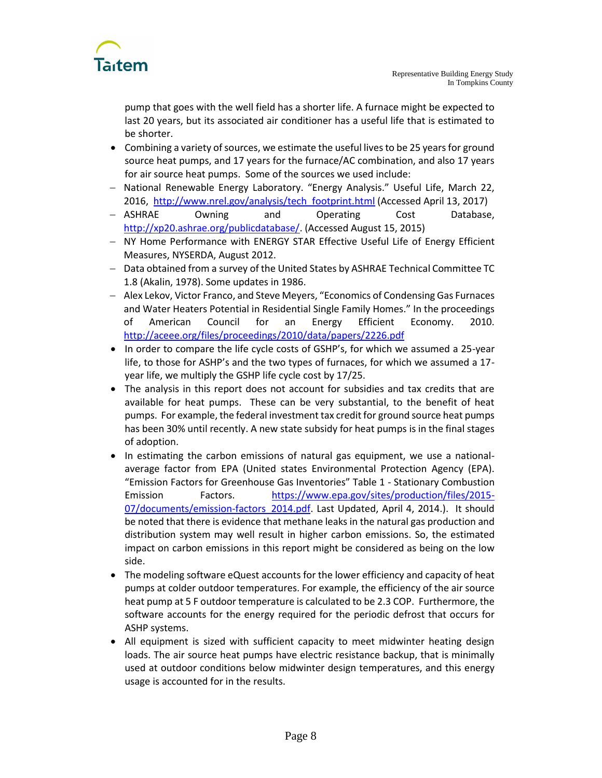

pump that goes with the well field has a shorter life. A furnace might be expected to last 20 years, but its associated air conditioner has a useful life that is estimated to be shorter.

- Combining a variety of sources, we estimate the useful lives to be 25 years for ground source heat pumps, and 17 years for the furnace/AC combination, and also 17 years for air source heat pumps. Some of the sources we used include:
- National Renewable Energy Laboratory. "Energy Analysis." Useful Life, March 22, 2016, [http://www.nrel.gov/analysis/tech\\_footprint.html](http://www.nrel.gov/analysis/tech_footprint.html) (Accessed April 13, 2017)
- ASHRAE Owning and Operating Cost Database, [http://xp20.ashrae.org/publicdatabase/.](http://xp20.ashrae.org/publicdatabase/) (Accessed August 15, 2015)
- NY Home Performance with ENERGY STAR Effective Useful Life of Energy Efficient Measures, NYSERDA, August 2012.
- Data obtained from a survey of the United States by ASHRAE Technical Committee TC 1.8 (Akalin, 1978). Some updates in 1986.
- Alex Lekov, Victor Franco, and Steve Meyers, "Economics of Condensing Gas Furnaces and Water Heaters Potential in Residential Single Family Homes." In the proceedings of American Council for an Energy Efficient Economy. 2010. <http://aceee.org/files/proceedings/2010/data/papers/2226.pdf>
- In order to compare the life cycle costs of GSHP's, for which we assumed a 25-year life, to those for ASHP's and the two types of furnaces, for which we assumed a 17 year life, we multiply the GSHP life cycle cost by 17/25.
- The analysis in this report does not account for subsidies and tax credits that are available for heat pumps. These can be very substantial, to the benefit of heat pumps. For example, the federal investment tax credit for ground source heat pumps has been 30% until recently. A new state subsidy for heat pumps is in the final stages of adoption.
- In estimating the carbon emissions of natural gas equipment, we use a nationalaverage factor from EPA (United states Environmental Protection Agency (EPA). "Emission Factors for Greenhouse Gas Inventories" Table 1 - Stationary Combustion Emission Factors. [https://www.epa.gov/sites/production/files/2015-](https://www.epa.gov/sites/production/files/2015-07/documents/emission-factors_2014.pdf) [07/documents/emission-factors\\_2014.pdf.](https://www.epa.gov/sites/production/files/2015-07/documents/emission-factors_2014.pdf) Last Updated, April 4, 2014.). It should be noted that there is evidence that methane leaks in the natural gas production and distribution system may well result in higher carbon emissions. So, the estimated impact on carbon emissions in this report might be considered as being on the low side.
- The modeling software eQuest accounts for the lower efficiency and capacity of heat pumps at colder outdoor temperatures. For example, the efficiency of the air source heat pump at 5 F outdoor temperature is calculated to be 2.3 COP. Furthermore, the software accounts for the energy required for the periodic defrost that occurs for ASHP systems.
- All equipment is sized with sufficient capacity to meet midwinter heating design loads. The air source heat pumps have electric resistance backup, that is minimally used at outdoor conditions below midwinter design temperatures, and this energy usage is accounted for in the results.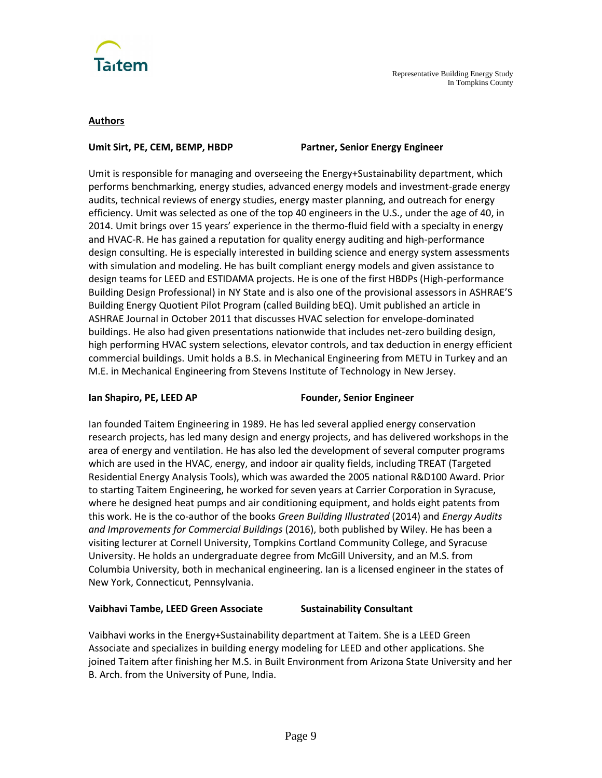

#### **Authors**

#### **Umit Sirt, PE, CEM, BEMP, HBDP Partner, Senior Energy Engineer**

Umit is responsible for managing and overseeing the Energy+Sustainability department, which performs benchmarking, energy studies, advanced energy models and investment-grade energy audits, technical reviews of energy studies, energy master planning, and outreach for energy efficiency. Umit was selected as one of the top 40 engineers in the U.S., under the age of 40, in 2014. Umit brings over 15 years' experience in the thermo-fluid field with a specialty in energy and HVAC-R. He has gained a reputation for quality energy auditing and high-performance design consulting. He is especially interested in building science and energy system assessments with simulation and modeling. He has built compliant energy models and given assistance to design teams for LEED and ESTIDAMA projects. He is one of the first HBDPs (High-performance Building Design Professional) in NY State and is also one of the provisional assessors in ASHRAE'S Building Energy Quotient Pilot Program (called Building bEQ). Umit published an article in ASHRAE Journal in October 2011 that discusses HVAC selection for envelope-dominated buildings. He also had given presentations nationwide that includes net-zero building design, high performing HVAC system selections, elevator controls, and tax deduction in energy efficient commercial buildings. Umit holds a B.S. in Mechanical Engineering from METU in Turkey and an M.E. in Mechanical Engineering from Stevens Institute of Technology in New Jersey.

# **Ian Shapiro, PE, LEED AP Founder, Senior Engineer**

Ian founded Taitem Engineering in 1989. He has led several applied energy conservation research projects, has led many design and energy projects, and has delivered workshops in the area of energy and ventilation. He has also led the development of several computer programs which are used in the HVAC, energy, and indoor air quality fields, including TREAT (Targeted Residential Energy Analysis Tools), which was awarded the 2005 national R&D100 Award. Prior to starting Taitem Engineering, he worked for seven years at Carrier Corporation in Syracuse, where he designed heat pumps and air conditioning equipment, and holds eight patents from this work. He is the co-author of the books *Green Building Illustrated* (2014) and *Energy Audits and Improvements for Commercial Buildings* (2016), both published by Wiley. He has been a visiting lecturer at Cornell University, Tompkins Cortland Community College, and Syracuse University. He holds an undergraduate degree from McGill University, and an M.S. from Columbia University, both in mechanical engineering. Ian is a licensed engineer in the states of New York, Connecticut, Pennsylvania.

# **Vaibhavi Tambe, LEED Green Associate Sustainability Consultant**

Vaibhavi works in the Energy+Sustainability department at Taitem. She is a LEED Green Associate and specializes in building energy modeling for LEED and other applications. She joined Taitem after finishing her M.S. in Built Environment from Arizona State University and her B. Arch. from the University of Pune, India.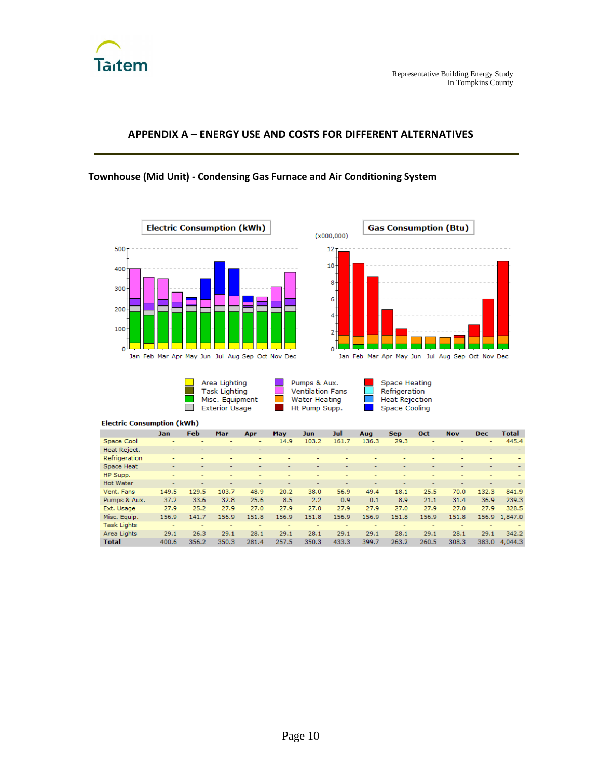

# **APPENDIX A – ENERGY USE AND COSTS FOR DIFFERENT ALTERNATIVES**

# **Townhouse (Mid Unit) - Condensing Gas Furnace and Air Conditioning System**





**Contract** Area Lighting **Task Lighting** Misc. Equipment<br>Exterior Usage  $\Box$ 

Pumps & Aux. **Ventilation Fans** Water Heating Ht Pump Supp.

드

**College** 

Space Heating Refrigeration Heat Rejection Space Cooling

|                    | Jan                      | Feb   | Mar   | Apr   | May   | Jun                      | Jul                      | Aug                      | <b>Sep</b>               | Oct                      | <b>Nov</b>               | <b>Dec</b>               | <b>Total</b>             |
|--------------------|--------------------------|-------|-------|-------|-------|--------------------------|--------------------------|--------------------------|--------------------------|--------------------------|--------------------------|--------------------------|--------------------------|
| Space Cool         | $\overline{\phantom{a}}$ |       |       | ٠     | 14.9  | 103.2                    | 161.7                    | 136.3                    | 29.3                     | ٠                        | $\overline{\phantom{0}}$ | $\overline{\phantom{a}}$ | 445.4                    |
| Heat Reject.       |                          |       |       |       |       | ۰                        |                          |                          |                          | ۰                        | ۰                        | $\overline{\phantom{a}}$ |                          |
| Refrigeration      | $\overline{\phantom{a}}$ |       |       | ۰     | ۰     | ۰                        | ۰                        | ۰                        | ۰                        |                          | -                        | $\overline{a}$           |                          |
| Space Heat         | $\overline{\phantom{0}}$ |       |       | ۰     | ۰     | $\overline{\phantom{0}}$ | $\overline{\phantom{0}}$ | $\overline{\phantom{0}}$ | $\overline{\phantom{0}}$ | ۰                        | $\overline{\phantom{a}}$ | $\overline{\phantom{a}}$ | $\overline{\phantom{a}}$ |
| HP Supp.           | ٠                        |       |       |       |       | $\overline{\phantom{0}}$ |                          | ۰                        | $\overline{\phantom{0}}$ | ٠                        | $\overline{\phantom{0}}$ |                          |                          |
| <b>Hot Water</b>   |                          |       |       |       | ۰     | $\overline{\phantom{a}}$ |                          | ۰                        |                          | $\overline{\phantom{a}}$ | $\overline{\phantom{a}}$ | $\overline{\phantom{a}}$ |                          |
| Vent. Fans         | 149.5                    | 129.5 | 103.7 | 48.9  | 20.2  | 38.0                     | 56.9                     | 49.4                     | 18.1                     | 25.5                     | 70.0                     | 132.3                    | 841.9                    |
| Pumps & Aux.       | 37.2                     | 33.6  | 32.8  | 25.6  | 8.5   | 2.2                      | 0.9                      | 0.1                      | 8.9                      | 21.1                     | 31.4                     | 36.9                     | 239.3                    |
| Ext. Usage         | 27.9                     | 25.2  | 27.9  | 27.0  | 27.9  | 27.0                     | 27.9                     | 27.9                     | 27.0                     | 27.9                     | 27.0                     | 27.9                     | 328.5                    |
| Misc. Equip.       | 156.9                    | 141.7 | 156.9 | 151.8 | 156.9 | 151.8                    | 156.9                    | 156.9                    | 151.8                    | 156.9                    | 151.8                    |                          | 156.9 1.847.0            |
| <b>Task Lights</b> |                          |       |       | ۰     | ۰     | ۰                        | ۰                        |                          | ۰                        |                          | $\overline{a}$           | $\overline{\phantom{a}}$ |                          |
| Area Lights        | 29.1                     | 26.3  | 29.1  | 28.1  | 29.1  | 28.1                     | 29.1                     | 29.1                     | 28.1                     | 29.1                     | 28.1                     | 29.1                     | 342.2                    |
| <b>Total</b>       | 400.6                    | 356.2 | 350.3 | 281.4 | 257.5 | 350.3                    | 433.3                    | 399.7                    | 263.2                    | 260.5                    | 308.3                    | 383.0                    | 4.044.3                  |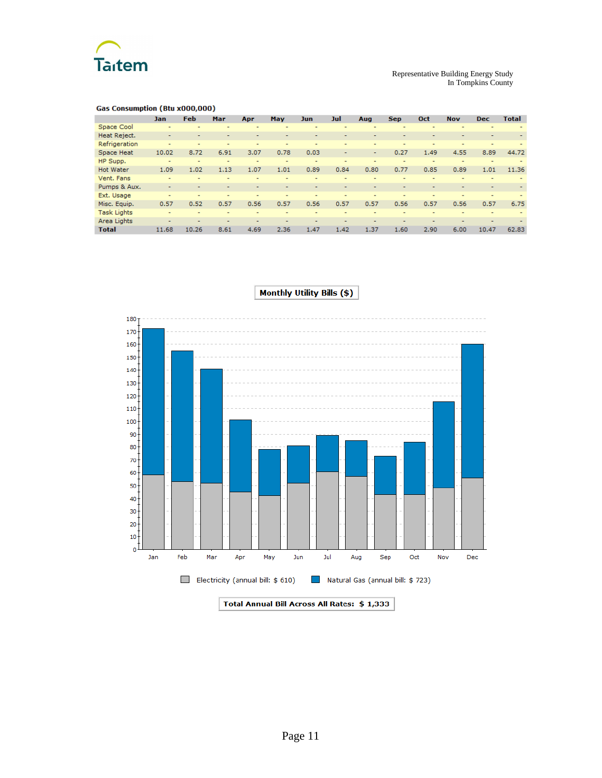

| Gas Consumption (Btu x000,000) |  |  |
|--------------------------------|--|--|
|                                |  |  |

|                    | Jan                      | <b>Feb</b>               | Mar  | Apr  | <b>May</b>               | <b>Jun</b>               | Jul  | Aug                      | <b>Sep</b>               | Oct                      | <b>Nov</b>               | <b>Dec</b>               | <b>Total</b>             |
|--------------------|--------------------------|--------------------------|------|------|--------------------------|--------------------------|------|--------------------------|--------------------------|--------------------------|--------------------------|--------------------------|--------------------------|
| Space Cool         |                          |                          | -    | -    | -                        | ۰                        |      |                          | $\overline{\phantom{a}}$ | -                        | $\overline{\phantom{0}}$ | $\overline{a}$           |                          |
| Heat Reject.       | $\overline{\phantom{a}}$ |                          |      |      | -                        | $\overline{\phantom{0}}$ | -    |                          | -                        |                          |                          |                          |                          |
| Refrigeration      |                          |                          |      |      |                          |                          |      |                          | ۰                        | ۰                        | -                        | $\overline{\phantom{a}}$ |                          |
| Space Heat         | 10.02                    | 8.72                     | 6.91 | 3.07 | 0.78                     | 0.03                     | ۰    | ٠                        | 0.27                     | 1.49                     | 4.55                     | 8.89                     | 44.72                    |
| HP Supp.           | ۰                        | $\overline{\phantom{0}}$ | ۰    | ۰    | $\overline{\phantom{0}}$ | $\overline{\phantom{0}}$ |      | $\overline{\phantom{0}}$ | $\overline{\phantom{0}}$ | $\overline{a}$           |                          | ۰                        |                          |
| <b>Hot Water</b>   | 1.09                     | 1.02                     | 1.13 | 1.07 | 1.01                     | 0.89                     | 0.84 | 0.80                     | 0.77                     | 0.85                     | 0.89                     | 1.01                     | 11.36                    |
| Vent. Fans         |                          |                          | -    |      |                          |                          |      |                          |                          | -                        |                          |                          |                          |
| Pumps & Aux.       |                          |                          |      | ٠    |                          |                          |      |                          | -                        |                          | -                        |                          | $\overline{\phantom{a}}$ |
| Ext. Usage         | $\overline{\phantom{0}}$ |                          | ۰    | ۰    | -                        | -                        | -    | $\overline{\phantom{a}}$ | $\overline{\phantom{0}}$ | -                        | $\overline{\phantom{0}}$ | ٠                        |                          |
| Misc. Equip.       | 0.57                     | 0.52                     | 0.57 | 0.56 | 0.57                     | 0.56                     | 0.57 | 0.57                     | 0.56                     | 0.57                     | 0.56                     | 0.57                     | 6.75                     |
| <b>Task Lights</b> |                          |                          | -    | -    |                          | -                        |      |                          | -                        | -                        |                          |                          |                          |
| Area Lights        | $\overline{\phantom{a}}$ |                          | -    |      |                          | -                        |      |                          | ۰                        | $\overline{\phantom{a}}$ |                          |                          |                          |
| <b>Total</b>       | 11.68                    | 10.26                    | 8.61 | 4.69 | 2.36                     | 1.47                     | 1.42 | 1.37                     | 1.60                     | 2.90                     | 6.00                     | 10.47                    | 62.83                    |

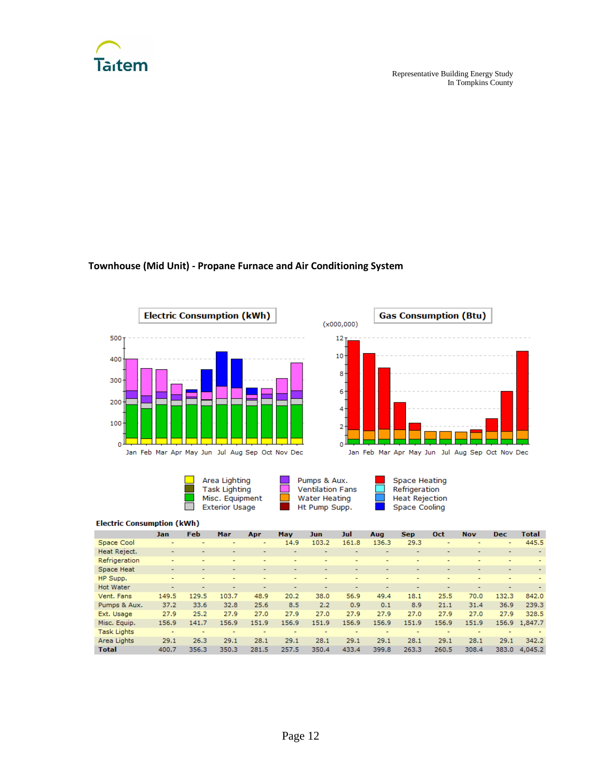

# **Townhouse (Mid Unit) - Propane Furnace and Air Conditioning System**







Pumps & Aux.<br>Ventilation Fans **Water Heating** Ht Pump Supp.

Space Heating<br>Refrigeration **Heat Rejection** Space Cooling

|                    | Jan                      | <b>Feb</b> | Mar                      | Apr                      | <b>May</b>               | Jun   | Jul                      | Aug                      | <b>Sep</b>               | Oct                      | <b>Nov</b>               | <b>Dec</b>               | Total                    |
|--------------------|--------------------------|------------|--------------------------|--------------------------|--------------------------|-------|--------------------------|--------------------------|--------------------------|--------------------------|--------------------------|--------------------------|--------------------------|
| Space Cool         | $\overline{a}$           | -          | -                        | ۰                        | 14.9                     | 103.2 | 161.8                    | 136.3                    | 29.3                     | $\overline{\phantom{0}}$ | ۰                        | $\overline{\phantom{a}}$ | 445.5                    |
| Heat Reject.       | $\overline{\phantom{a}}$ |            | -                        | -                        | -                        | -     |                          | $\overline{\phantom{a}}$ | -                        | $\overline{\phantom{0}}$ |                          | $\overline{\phantom{0}}$ |                          |
| Refrigeration      |                          |            |                          | -                        |                          |       |                          | $\overline{\phantom{a}}$ | ۰                        |                          | $\overline{\phantom{a}}$ |                          |                          |
| Space Heat         | ٠                        |            | ۰                        | -                        | ٠                        | ۰     | ۰                        | ٠                        | ۰                        | ۰                        | ٠                        | $\overline{\phantom{a}}$ | $\overline{\phantom{a}}$ |
| HP Supp.           | -                        |            | -                        | -                        | -                        | -     | -                        | $\overline{\phantom{a}}$ | -                        | -                        |                          | $\overline{\phantom{0}}$ |                          |
| <b>Hot Water</b>   | $\blacksquare$           |            |                          | $\overline{\phantom{0}}$ | $\overline{\phantom{0}}$ | -     | $\overline{\phantom{0}}$ |                          | $\overline{\phantom{0}}$ | $\overline{\phantom{0}}$ | $\overline{\phantom{0}}$ |                          |                          |
| Vent. Fans         | 149.5                    | 129.5      | 103.7                    | 48.9                     | 20.2                     | 38.0  | 56.9                     | 49.4                     | 18.1                     | 25.5                     | 70.0                     | 132.3                    | 842.0                    |
| Pumps & Aux.       | 37.2                     | 33.6       | 32.8                     | 25.6                     | 8.5                      | 2.2   | 0.9                      | 0.1                      | 8.9                      | 21.1                     | 31.4                     | 36.9                     | 239.3                    |
| Ext. Usage         | 27.9                     | 25.2       | 27.9                     | 27.0                     | 27.9                     | 27.0  | 27.9                     | 27.9                     | 27.0                     | 27.9                     | 27.0                     | 27.9                     | 328.5                    |
| Misc. Equip.       | 156.9                    | 141.7      | 156.9                    | 151.9                    | 156.9                    | 151.9 | 156.9                    | 156.9                    | 151.9                    | 156.9                    | 151.9                    |                          | 156.9 1,847.7            |
| <b>Task Lights</b> | $\overline{a}$           | -          | $\overline{\phantom{0}}$ | ۰                        | $\overline{\phantom{0}}$ |       | -                        | $\overline{a}$           | $\overline{\phantom{0}}$ | ۰                        | ۰                        | $\overline{\phantom{0}}$ |                          |
| Area Lights        | 29.1                     | 26.3       | 29.1                     | 28.1                     | 29.1                     | 28.1  | 29.1                     | 29.1                     | 28.1                     | 29.1                     | 28.1                     | 29.1                     | 342.2                    |
| <b>Total</b>       | 400.7                    | 356.3      | 350.3                    | 281.5                    | 257.5                    | 350.4 | 433.4                    | 399.8                    | 263.3                    | 260.5                    | 308.4                    | 383.0                    | 4,045.2                  |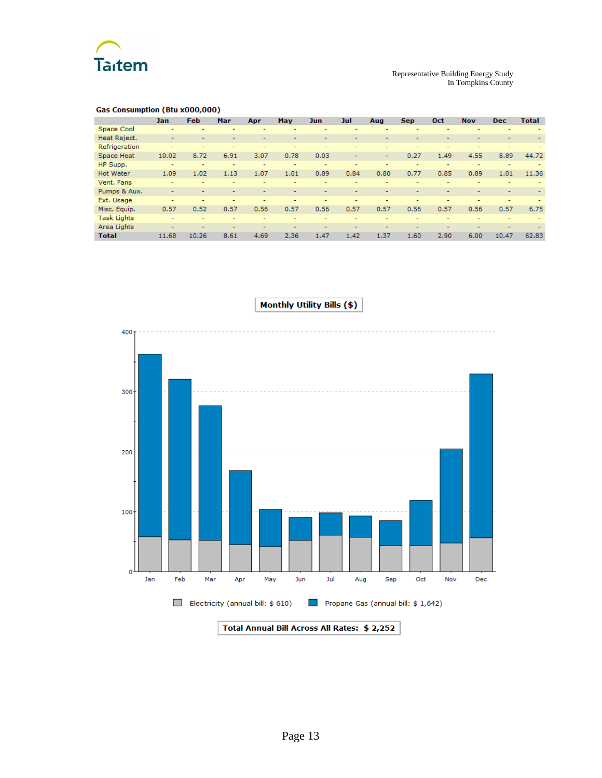

#### **Gas Consumption (Btu x000,000)**

|                    | Jan                      | Feb   | Mar  | Apr                      | <b>May</b>               | <b>Jun</b>               | Jul  | Aug                      | <b>Sep</b>               | Oct                      | <b>Nov</b>               | <b>Dec</b> | <b>Total</b> |
|--------------------|--------------------------|-------|------|--------------------------|--------------------------|--------------------------|------|--------------------------|--------------------------|--------------------------|--------------------------|------------|--------------|
| Space Cool         | $\overline{\phantom{0}}$ |       |      | ۰                        |                          |                          |      | $\overline{\phantom{0}}$ | ۰                        |                          |                          |            |              |
| Heat Reject.       |                          |       |      |                          |                          | -                        |      |                          |                          |                          |                          |            |              |
| Refrigeration      | ۰                        |       | ۰    |                          | ۰                        | ۰                        |      | ٠                        | ۰                        | ۰.                       | ۰                        |            |              |
| Space Heat         | 10.02                    | 8.72  | 6.91 | 3.07                     | 0.78                     | 0.03                     | ٠    | ٠                        | 0.27                     | 1.49                     | 4.55                     | 8.89       | 44.72        |
| HP Supp.           | ۰                        |       | ٠    | -                        | ٠                        | -                        |      | ٠                        | ۰                        | ٠                        |                          |            |              |
| <b>Hot Water</b>   | 1.09                     | 1.02  | 1.13 | 1.07                     | 1.01                     | 0.89                     | 0.84 | 0.80                     | 0.77                     | 0.85                     | 0.89                     | 1.01       | 11.36        |
| Vent. Fans         |                          |       | -    |                          | $\overline{\phantom{0}}$ | $\overline{\phantom{0}}$ | -    | $\overline{\phantom{a}}$ | -                        |                          | $\overline{\phantom{0}}$ |            |              |
| Pumps & Aux.       | $\overline{\phantom{0}}$ |       |      | -                        | -                        | $\overline{\phantom{a}}$ | -    | $\overline{\phantom{a}}$ | $\overline{\phantom{a}}$ |                          |                          |            |              |
| Ext. Usage         | -                        |       |      |                          |                          |                          |      | -                        | -                        |                          |                          |            |              |
| Misc. Equip.       | 0.57                     | 0.52  | 0.57 | 0.56                     | 0.57                     | 0.56                     | 0.57 | 0.57                     | 0.56                     | 0.57                     | 0.56                     | 0.57       | 6.75         |
| <b>Task Lights</b> | ٠                        |       |      | -                        |                          | -                        |      | $\overline{\phantom{0}}$ | $\overline{\phantom{0}}$ |                          |                          |            |              |
| Area Lights        | $\overline{\phantom{0}}$ |       |      | $\overline{\phantom{0}}$ | -                        | -                        | -    | $\overline{\phantom{0}}$ | $\overline{\phantom{0}}$ | $\overline{\phantom{0}}$ |                          |            |              |
| <b>Total</b>       | 11.68                    | 10.26 | 8.61 | 4.69                     | 2.36                     | 1.47                     | 1.42 | 1.37                     | 1.60                     | 2.90                     | 6.00                     | 10.47      | 62.83        |



**Monthly Utility Bills (\$)**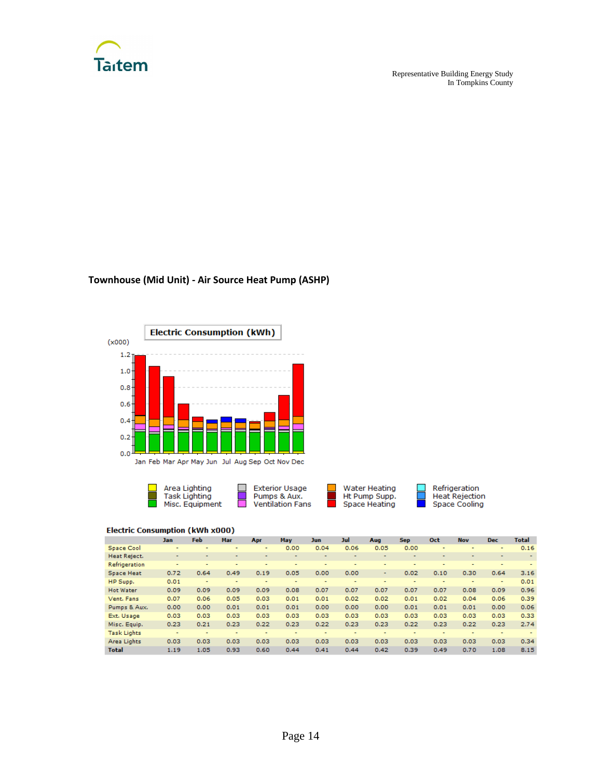

Representative Building Energy Study In Tompkins County

Refrigeration<br>Heat Rejection<br>Space Cooling

# **Townhouse (Mid Unit) - Air Source Heat Pump (ASHP)**





|                    | Jan                      | <b>Feb</b>               | Mar                      | Apr                      | May                      | Jun  | Jul                      | Aug                      | <b>Sep</b>               | <b>Oct</b>               | <b>Nov</b>               | <b>Dec</b>               | <b>Total</b>             |
|--------------------|--------------------------|--------------------------|--------------------------|--------------------------|--------------------------|------|--------------------------|--------------------------|--------------------------|--------------------------|--------------------------|--------------------------|--------------------------|
|                    |                          |                          |                          |                          |                          |      |                          |                          |                          |                          |                          |                          |                          |
| Space Cool         | ۰                        |                          | ۰                        | ۰                        | 0.00                     | 0.04 | 0.06                     | 0.05                     | 0.00                     | ۰                        |                          | ۰                        | 0.16                     |
| Heat Reject.       | $\sim$                   | $\overline{\phantom{a}}$ | $\overline{\phantom{0}}$ | $\overline{\phantom{a}}$ | $\overline{\phantom{a}}$ |      | $\overline{\phantom{a}}$ | $\overline{\phantom{0}}$ | $\overline{\phantom{a}}$ | $\overline{\phantom{a}}$ | $\overline{\phantom{a}}$ | ٠                        | $\overline{\phantom{a}}$ |
| Refrigeration      |                          | $\overline{\phantom{a}}$ | ۰                        | -                        | ۰                        |      | $\overline{\phantom{a}}$ | ۰                        | ۰                        |                          | -                        |                          |                          |
| Space Heat         | 0.72                     | 0.64                     | 0.49                     | 0.19                     | 0.05                     | 0.00 | 0.00                     | ۰                        | 0.02                     | 0.10                     | 0.30                     | 0.64                     | 3.16                     |
| HP Supp.           | 0.01                     | ۰                        | ٠                        | $\overline{\phantom{0}}$ | $\overline{\phantom{a}}$ | -    | $\overline{\phantom{0}}$ | ۰                        | $\overline{\phantom{a}}$ | ۰                        | $\overline{\phantom{a}}$ | ۰                        | 0.01                     |
| <b>Hot Water</b>   | 0.09                     | 0.09                     | 0.09                     | 0.09                     | 0.08                     | 0.07 | 0.07                     | 0.07                     | 0.07                     | 0.07                     | 0.08                     | 0.09                     | 0.96                     |
| Vent. Fans         | 0.07                     | 0.06                     | 0.05                     | 0.03                     | 0.01                     | 0.01 | 0.02                     | 0.02                     | 0.01                     | 0.02                     | 0.04                     | 0.06                     | 0.39                     |
| Pumps & Aux.       | 0.00                     | 0.00                     | 0.01                     | 0.01                     | 0.01                     | 0.00 | 0.00                     | 0.00                     | 0.01                     | 0.01                     | 0.01                     | 0.00                     | 0.06                     |
| Ext. Usage         | 0.03                     | 0.03                     | 0.03                     | 0.03                     | 0.03                     | 0.03 | 0.03                     | 0.03                     | 0.03                     | 0.03                     | 0.03                     | 0.03                     | 0.33                     |
| Misc. Equip.       | 0.23                     | 0.21                     | 0.23                     | 0.22                     | 0.23                     | 0.22 | 0.23                     | 0.23                     | 0.22                     | 0.23                     | 0.22                     | 0.23                     | 2.74                     |
| <b>Task Lights</b> | $\overline{\phantom{a}}$ | $\overline{\phantom{0}}$ | $\overline{\phantom{0}}$ | $\overline{\phantom{a}}$ | $\overline{\phantom{a}}$ | ۰    | $\overline{\phantom{a}}$ | $\overline{\phantom{a}}$ | $\overline{\phantom{a}}$ | $\overline{\phantom{0}}$ | $\overline{\phantom{a}}$ | $\overline{\phantom{a}}$ |                          |
| Area Lights        | 0.03                     | 0.03                     | 0.03                     | 0.03                     | 0.03                     | 0.03 | 0.03                     | 0.03                     | 0.03                     | 0.03                     | 0.03                     | 0.03                     | 0.34                     |
| <b>Total</b>       | 1.19                     | 1.05                     | 0.93                     | 0.60                     | 0.44                     | 0.41 | 0.44                     | 0.42                     | 0.39                     | 0.49                     | 0.70                     | 1.08                     | 8.15                     |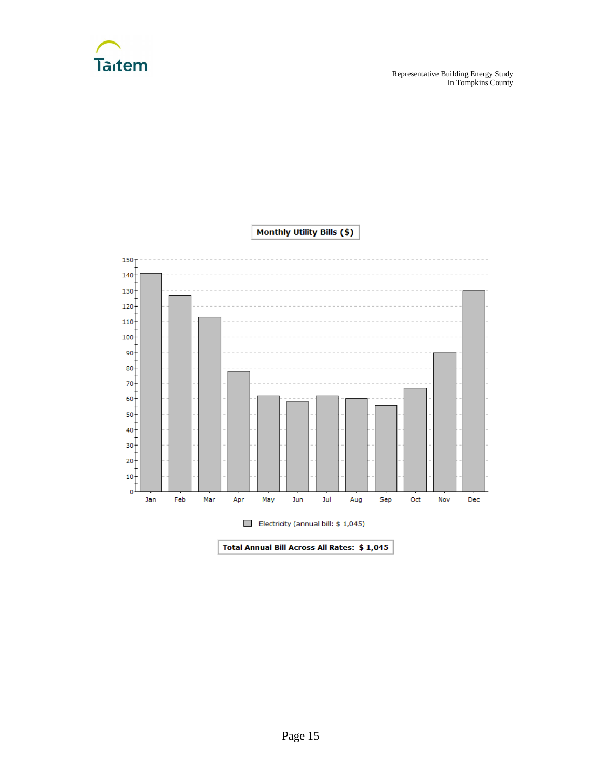



Total Annual Bill Across All Rates: \$1,045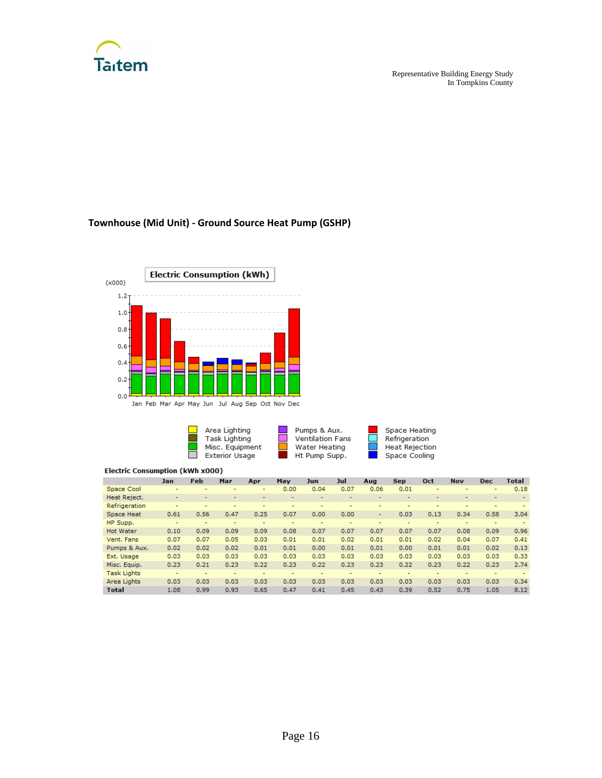

# **Townhouse (Mid Unit) - Ground Source Heat Pump (GSHP)**



| Area Lighting         | Pumps & Aux.            | Space Heating         |
|-----------------------|-------------------------|-----------------------|
| <b>Task Lighting</b>  | <b>Ventilation Fans</b> | Refrigeration         |
| Misc. Equipment       | Water Heating           | <b>Heat Rejection</b> |
| <b>Exterior Usage</b> | Ht Pump Supp.           | Space Cooling         |

|                    | <b>Jan</b> | <b>Feb</b> | Mar  | Apr  | May  | <b>Jun</b> | Jul                      | Aug                      | <b>Sep</b> | <b>Oct</b>               | <b>Nov</b> | <b>Dec</b>               | <b>Total</b>             |
|--------------------|------------|------------|------|------|------|------------|--------------------------|--------------------------|------------|--------------------------|------------|--------------------------|--------------------------|
| Space Cool         |            | -          | -    | ۰    | 0.00 | 0.04       | 0.07                     | 0.06                     | 0.01       | ٠                        | ۰          | ۰                        | 0.18                     |
| Heat Reject.       | ۰          |            |      |      |      | ۰          |                          |                          |            |                          |            |                          | $\overline{\phantom{a}}$ |
| Refrigeration      | ۰          |            |      |      | ۰    | -          | -                        | -                        |            |                          | -          | -                        |                          |
| Space Heat         | 0.61       | 0.56       | 0.47 | 0.25 | 0.07 | 0.00       | 0.00                     | $\sim$                   | 0.03       | 0.13                     | 0.34       | 0.58                     | 3.04                     |
| HP Supp.           | ۰          | -          | -    |      | -    | -          |                          |                          | ۰          | $\overline{\phantom{0}}$ | ۰          | ۰                        |                          |
| <b>Hot Water</b>   | 0.10       | 0.09       | 0.09 | 0.09 | 0.08 | 0.07       | 0.07                     | 0.07                     | 0.07       | 0.07                     | 0.08       | 0.09                     | 0.96                     |
| Vent. Fans         | 0.07       | 0.07       | 0.05 | 0.03 | 0.01 | 0.01       | 0.02                     | 0.01                     | 0.01       | 0.02                     | 0.04       | 0.07                     | 0.41                     |
| Pumps & Aux.       | 0.02       | 0.02       | 0.02 | 0.01 | 0.01 | 0.00       | 0.01                     | 0.01                     | 0.00       | 0.01                     | 0.01       | 0.02                     | 0.13                     |
| Ext. Usage         | 0.03       | 0.03       | 0.03 | 0.03 | 0.03 | 0.03       | 0.03                     | 0.03                     | 0.03       | 0.03                     | 0.03       | 0.03                     | 0.33                     |
| Misc. Equip.       | 0.23       | 0.21       | 0.23 | 0.22 | 0.23 | 0.22       | 0.23                     | 0.23                     | 0.22       | 0.23                     | 0.22       | 0.23                     | 2.74                     |
| <b>Task Lights</b> | ۰          | -          | -    |      | -    | -          | $\overline{\phantom{0}}$ | $\overline{\phantom{0}}$ |            | $\overline{\phantom{a}}$ | -          | $\overline{\phantom{0}}$ |                          |
| Area Lights        | 0.03       | 0.03       | 0.03 | 0.03 | 0.03 | 0.03       | 0.03                     | 0.03                     | 0.03       | 0.03                     | 0.03       | 0.03                     | 0.34                     |
| <b>Total</b>       | 1.08       | 0.99       | 0.93 | 0.65 | 0.47 | 0.41       | 0.45                     | 0.43                     | 0.39       | 0.52                     | 0.75       | 1.05                     | 8.12                     |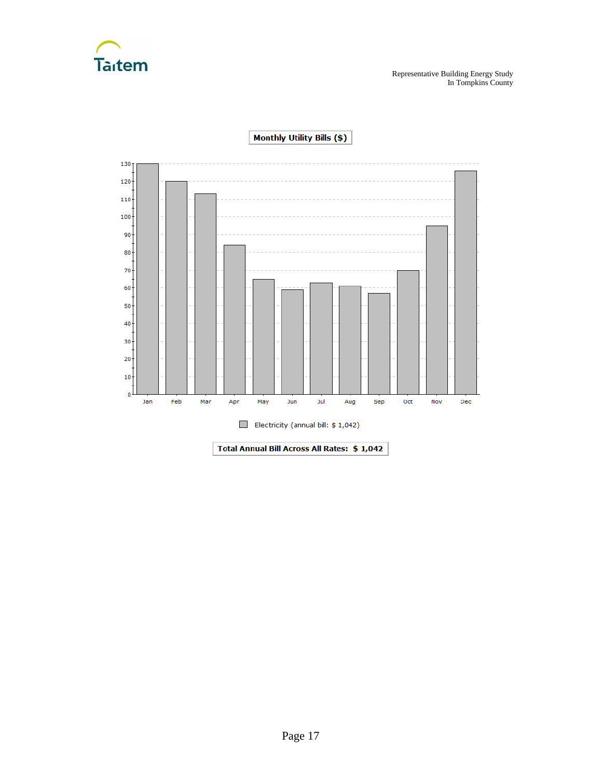



Monthly Utility Bills (\$)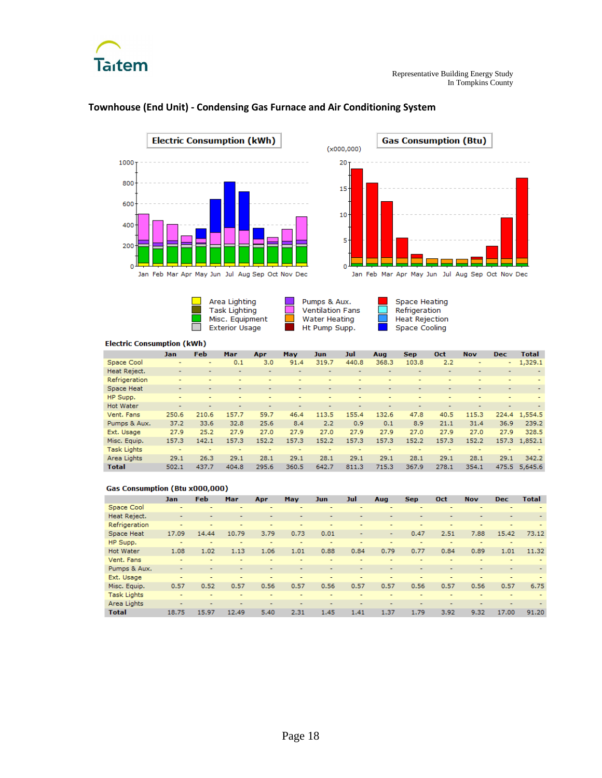



٠

 $\Box$ 

#### **Townhouse (End Unit) - Condensing Gas Furnace and Air Conditioning System**



Area Lighting **Task Lighting** Misc. Equipment

Exterior Usage



Space Heating Refrigeration Heat Rejection Space Cooling

÷.

#### **Electric Consumption (kWh)**

|                    | Jan                      | <b>Feb</b> | Mar   | Apr                      | <b>May</b> | <b>Jun</b>               | Jul                      | Aug                      | <b>Sep</b>               | <b>Oct</b>               | <b>Nov</b>               | <b>Dec</b>               | Total                    |
|--------------------|--------------------------|------------|-------|--------------------------|------------|--------------------------|--------------------------|--------------------------|--------------------------|--------------------------|--------------------------|--------------------------|--------------------------|
| Space Cool         | $\overline{\phantom{0}}$ | -          | 0.1   | 3.0                      | 91.4       | 319.7                    | 440.8                    | 368.3                    | 103.8                    | 2.2                      | ۰                        | $\sim$                   | 1,329.1                  |
| Heat Reject.       | ۰                        |            |       |                          |            |                          | -                        | -                        |                          | $\overline{\phantom{0}}$ | -                        | -                        |                          |
| Refrigeration      | ۰                        |            |       |                          | ۰          | -                        |                          |                          |                          | $\overline{\phantom{a}}$ |                          | ۰                        |                          |
| Space Heat         | ۰                        |            |       |                          | -          | $\overline{\phantom{0}}$ | $\overline{\phantom{0}}$ | $\overline{\phantom{0}}$ | $\overline{\phantom{0}}$ | $\overline{\phantom{0}}$ | $\overline{\phantom{0}}$ | ۰                        | $\overline{\phantom{0}}$ |
| HP Supp.           |                          |            |       |                          |            | ۰                        |                          |                          |                          |                          | ۰                        |                          |                          |
| <b>Hot Water</b>   | ۰                        |            |       |                          | -          |                          | $\overline{\phantom{a}}$ | $\overline{\phantom{0}}$ | $\overline{\phantom{0}}$ | $\overline{\phantom{a}}$ | $\overline{ }$           | $\overline{\phantom{0}}$ |                          |
| Vent. Fans         | 250.6                    | 210.6      | 157.7 | 59.7                     | 46.4       | 113.5                    | 155.4                    | 132.6                    | 47.8                     | 40.5                     | 115.3                    |                          | 224.4 1,554.5            |
| Pumps & Aux.       | 37.2                     | 33.6       | 32.8  | 25.6                     | 8.4        | 2.2                      | 0.9                      | 0.1                      | 8.9                      | 21.1                     | 31.4                     | 36.9                     | 239.2                    |
| Ext. Usage         | 27.9                     | 25.2       | 27.9  | 27.0                     | 27.9       | 27.0                     | 27.9                     | 27.9                     | 27.0                     | 27.9                     | 27.0                     | 27.9                     | 328.5                    |
| Misc. Equip.       | 157.3                    | 142.1      | 157.3 | 152.2                    | 157.3      | 152.2                    | 157.3                    | 157.3                    | 152.2                    | 157.3                    | 152.2                    |                          | 157.3 1.852.1            |
| <b>Task Lights</b> | $\overline{\phantom{a}}$ | -          | ۰     | $\overline{\phantom{0}}$ | -          | -                        |                          | -                        | $\overline{\phantom{a}}$ |                          | -                        | -                        |                          |
| Area Lights        | 29.1                     | 26.3       | 29.1  | 28.1                     | 29.1       | 28.1                     | 29.1                     | 29.1                     | 28.1                     | 29.1                     | 28.1                     | 29.1                     | 342.2                    |
| <b>Total</b>       | 502.1                    | 437.7      | 404.8 | 295.6                    | 360.5      | 642.7                    | 811.3                    | 715.3                    | 367.9                    | 278.1                    | 354.1                    | 475.5                    | 5,645.6                  |

#### **Gas Consumption (Btu x000,000)**

|                    | Jan.                     | <b>Feb</b> | Mar                      | Apr                      | May                      | <b>Jun</b>               | Jul                      | Aug                      | <b>Sep</b>     | Oct                      | <b>Nov</b>               | <b>Dec</b>               | <b>Total</b> |
|--------------------|--------------------------|------------|--------------------------|--------------------------|--------------------------|--------------------------|--------------------------|--------------------------|----------------|--------------------------|--------------------------|--------------------------|--------------|
| Space Cool         |                          |            | ۰                        |                          |                          |                          |                          | ۰                        |                | -                        |                          |                          |              |
| Heat Reject.       | $\overline{\phantom{a}}$ |            |                          | -                        | $\overline{\phantom{a}}$ |                          |                          | $\overline{\phantom{a}}$ | $\overline{a}$ |                          | $\overline{a}$           | $\overline{\phantom{a}}$ |              |
| Refrigeration      | $\overline{\phantom{0}}$ | ۰          | -                        | $\overline{\phantom{0}}$ | ۰                        | $\overline{\phantom{0}}$ | $\overline{\phantom{0}}$ | ۰                        | $\overline{a}$ | $\overline{\phantom{0}}$ | $\overline{\phantom{0}}$ | $\overline{a}$           |              |
| Space Heat         | 17.09                    | 14.44      | 10.79                    | 3.79                     | 0.73                     | 0.01                     | ٠                        | ٠                        | 0.47           | 2.51                     | 7.88                     | 15.42                    | 73.12        |
| HP Supp.           | -                        |            | -                        | -                        |                          | -                        |                          | $\overline{\phantom{a}}$ | -              | $\overline{\phantom{a}}$ |                          |                          |              |
| <b>Hot Water</b>   | 1.08                     | 1.02       | 1.13                     | 1.06                     | 1.01                     | 0.88                     | 0.84                     | 0.79                     | 0.77           | 0.84                     | 0.89                     | 1.01                     | 11.32        |
| Vent. Fans         | ۰                        |            |                          | ۰                        | ۰                        | ۰                        | -                        | $\overline{\phantom{0}}$ | -              | $\overline{\phantom{a}}$ | $\overline{\phantom{a}}$ | $\overline{\phantom{a}}$ |              |
| Pumps & Aux.       |                          |            |                          |                          |                          |                          |                          |                          | -              |                          |                          |                          |              |
| Ext. Usage         | -                        |            |                          |                          |                          |                          |                          | $\overline{\phantom{a}}$ | $\overline{a}$ | $\overline{a}$           | $\overline{\phantom{a}}$ | $\overline{a}$           |              |
| Misc. Equip.       | 0.57                     | 0.52       | 0.57                     | 0.56                     | 0.57                     | 0.56                     | 0.57                     | 0.57                     | 0.56           | 0.57                     | 0.56                     | 0.57                     | 6.75         |
| <b>Task Lights</b> |                          |            |                          |                          |                          |                          |                          |                          |                |                          |                          |                          |              |
| Area Lights        |                          |            | $\overline{\phantom{0}}$ | $\overline{\phantom{a}}$ | -                        | $\overline{\phantom{0}}$ |                          | -                        | $\overline{ }$ | -                        |                          | $\overline{\phantom{a}}$ |              |
| <b>Total</b>       | 18.75                    | 15.97      | 12.49                    | 5.40                     | 2.31                     | 1.45                     | 1.41                     | 1.37                     | 1.79           | 3.92                     | 9.32                     | 17.00                    | 91.20        |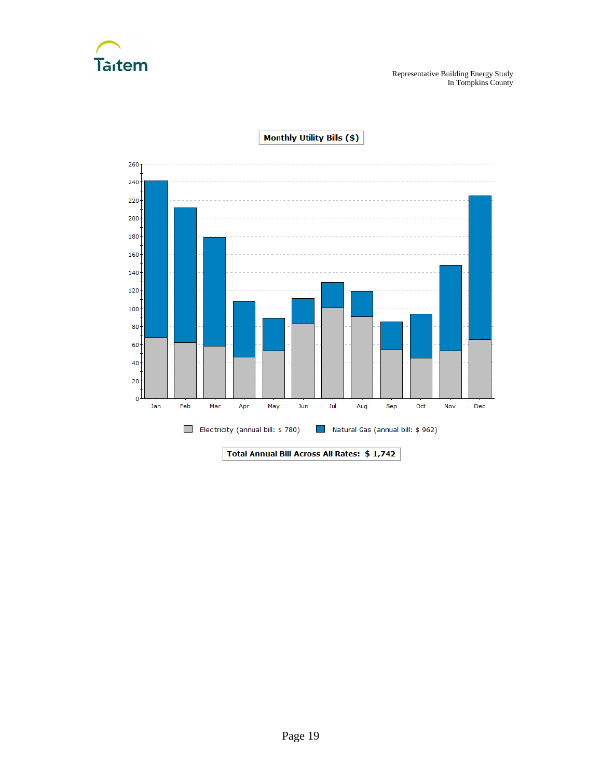



**Monthly Utility Bills (\$)**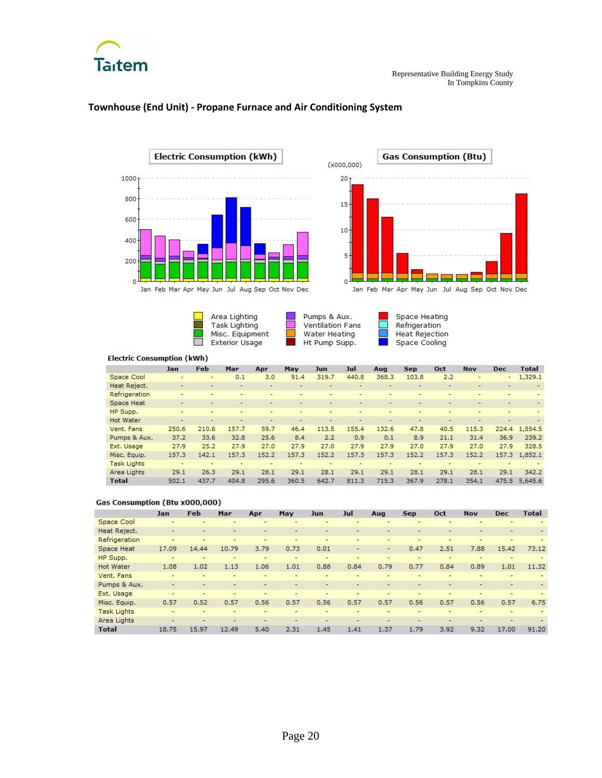



#### **Townhouse (End Unit) - Propane Furnace and Air Conditioning System**







Space Heating<br>Refrigeration **Heat Rejection** Space Cooling

 $\Box$ 

#### **Electric Consumption (kWh)**

|                    | Jan                      | <b>Feb</b> | Mar            | Apr                      | May                      | Jun                      | Jul                      | Aug   | <b>Sep</b>               | Oct                      | <b>Nov</b>               | <b>Dec</b>               | <b>Total</b>  |
|--------------------|--------------------------|------------|----------------|--------------------------|--------------------------|--------------------------|--------------------------|-------|--------------------------|--------------------------|--------------------------|--------------------------|---------------|
| Space Cool         |                          |            | 0.1            | 3.0                      | 91.4                     | 319.7                    | 440.8                    | 368.3 | 103.8                    | 2.2                      | $\overline{\phantom{a}}$ | $\sim$                   | 1,329.1       |
| Heat Reject.       | $\overline{\phantom{0}}$ |            |                |                          |                          |                          |                          | ۰     |                          | $\overline{\phantom{0}}$ |                          | $\overline{\phantom{0}}$ |               |
| Refrigeration      |                          |            |                |                          |                          |                          |                          |       | -                        |                          |                          |                          |               |
| Space Heat         | $\overline{\phantom{0}}$ |            |                |                          | $\overline{\phantom{0}}$ | $\overline{\phantom{0}}$ | $\overline{\phantom{0}}$ | -     | $\overline{\phantom{0}}$ | $\overline{\phantom{0}}$ | $\overline{\phantom{0}}$ | $\overline{\phantom{0}}$ |               |
| HP Supp.           | ۰                        |            |                |                          |                          |                          |                          |       | ۰                        |                          |                          |                          |               |
| <b>Hot Water</b>   | $\overline{\phantom{0}}$ |            | $\blacksquare$ | $\overline{\phantom{0}}$ | $\overline{\phantom{0}}$ | $\overline{\phantom{0}}$ | -                        | ۰     | $\overline{\phantom{0}}$ | $\overline{\phantom{0}}$ | $\overline{\phantom{0}}$ | $\overline{\phantom{0}}$ |               |
| Vent. Fans         | 250.6                    | 210.6      | 157.7          | 59.7                     | 46.4                     | 113.5                    | 155.4                    | 132.6 | 47.8                     | 40.5                     | 115.3                    |                          | 224.4 1,554.5 |
| Pumps & Aux.       | 37.2                     | 33.6       | 32.8           | 25.6                     | 8.4                      | 2.2                      | 0.9                      | 0.1   | 8.9                      | 21.1                     | 31.4                     | 36.9                     | 239.2         |
| Ext. Usage         | 27.9                     | 25.2       | 27.9           | 27.0                     | 27.9                     | 27.0                     | 27.9                     | 27.9  | 27.0                     | 27.9                     | 27.0                     | 27.9                     | 328.5         |
| Misc. Equip.       | 157.3                    | 142.1      | 157.3          | 152.2                    | 157.3                    | 152.2                    | 157.3                    | 157.3 | 152.2                    | 157.3                    | 152.2                    |                          | 157.3 1,852.1 |
| <b>Task Lights</b> | $\overline{\phantom{a}}$ |            |                |                          |                          |                          |                          |       |                          | ۰                        |                          |                          |               |
| Area Lights        | 29.1                     | 26.3       | 29.1           | 28.1                     | 29.1                     | 28.1                     | 29.1                     | 29.1  | 28.1                     | 29.1                     | 28.1                     | 29.1                     | 342.2         |
| <b>Total</b>       | 502.1                    | 437.7      | 404.8          | 295.6                    | 360.5                    | 642.7                    | 811.3                    | 715.3 | 367.9                    | 278.1                    | 354.1                    |                          | 475.5 5.645.6 |

#### **Gas Consumption (Btu x000,000)**

|                    | <b>Jan</b>               | <b>Feb</b> | Mar            | Apr                      | <b>May</b> | Jun.                     | Jul                      | Aug                      | <b>Sep</b> | Oct            | <b>Nov</b>               | <b>Dec</b>               | <b>Total</b> |
|--------------------|--------------------------|------------|----------------|--------------------------|------------|--------------------------|--------------------------|--------------------------|------------|----------------|--------------------------|--------------------------|--------------|
| Space Cool         | -                        | ۰          |                |                          |            |                          |                          |                          | ۰          |                |                          |                          |              |
| Heat Reject.       | $\overline{\phantom{0}}$ |            |                |                          |            | $\overline{\phantom{0}}$ |                          | $\overline{\phantom{0}}$ | ۰          |                |                          |                          |              |
| Refrigeration      | $\overline{a}$           |            |                | -                        | -          |                          |                          | $\overline{a}$           | -          | $\overline{a}$ |                          |                          |              |
| Space Heat         | 17.09                    | 14.44      | 10.79          | 3.79                     | 0.73       | 0.01                     | ۰                        | ۰.                       | 0.47       | 2.51           | 7.88                     | 15.42                    | 73.12        |
| HP Supp.           | $\overline{\phantom{0}}$ |            |                |                          |            |                          |                          |                          | ۰          |                |                          |                          |              |
| <b>Hot Water</b>   | 1.08                     | 1.02       | 1.13           | 1.06                     | 1.01       | 0.88                     | 0.84                     | 0.79                     | 0.77       | 0.84           | 0.89                     | 1.01                     | 11.32        |
| Vent. Fans         |                          |            |                |                          |            | -                        | -                        | $\overline{\phantom{a}}$ | ۰          |                |                          |                          |              |
| Pumps & Aux.       | $\overline{\phantom{0}}$ |            |                |                          |            | $\overline{\phantom{0}}$ | $\overline{\phantom{0}}$ | $\overline{\phantom{a}}$ | -          |                |                          |                          |              |
| Ext. Usage         | $\overline{a}$           | ۰          | $\overline{a}$ | $\overline{\phantom{0}}$ | ۰          | $\overline{\phantom{0}}$ | ۰                        | $\overline{a}$           | ۰          | -              | $\overline{\phantom{0}}$ | $\overline{\phantom{0}}$ |              |
| Misc. Equip.       | 0.57                     | 0.52       | 0.57           | 0.56                     | 0.57       | 0.56                     | 0.57                     | 0.57                     | 0.56       | 0.57           | 0.56                     | 0.57                     | 6.75         |
| <b>Task Lights</b> | $\overline{\phantom{0}}$ |            |                |                          |            |                          |                          |                          |            |                |                          |                          |              |
| Area Lights        | $\overline{\phantom{0}}$ |            |                |                          |            |                          |                          |                          |            |                |                          |                          |              |
| <b>Total</b>       | 18.75                    | 15.97      | 12.49          | 5.40                     | 2.31       | 1.45                     | 1.41                     | 1.37                     | 1.79       | 3.92           | 9.32                     | 17.00                    | 91.20        |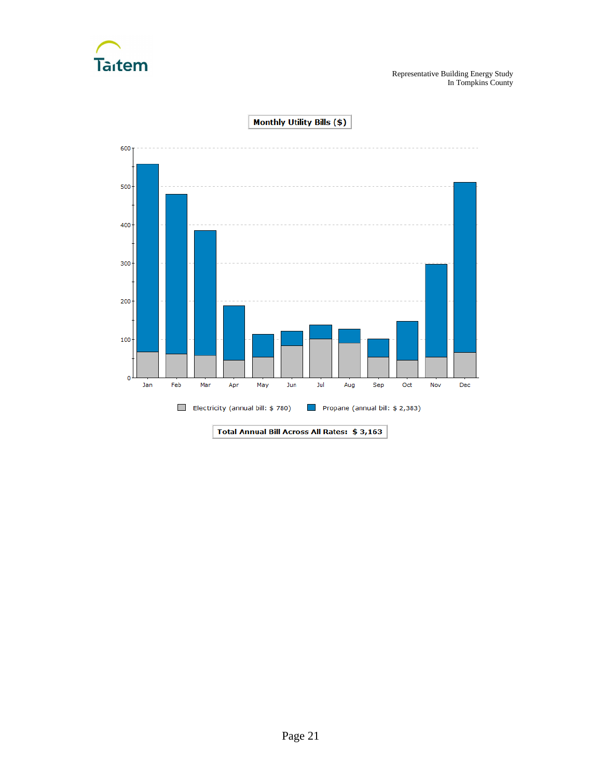

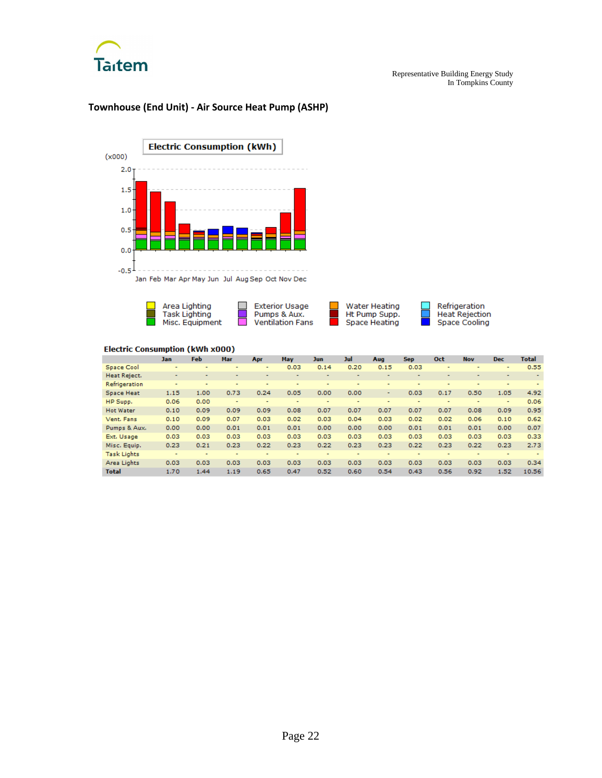

# **Electric Consumption (kWh)**  $(x000)$  $2.0 -$ 1.5  $1.0$  $0.5$  $0.0$  $-0.5$ Jan Feb Mar Apr May Jun Jul Aug Sep Oct Nov Dec

# **Townhouse (End Unit) - Air Source Heat Pump (ASHP)**



|                    | <b>Jan</b>               | <b>Feb</b> | <b>Mar</b>               | Apr                      | May  | <b>Jun</b>               | Jul                      | Aug                      | <b>Sep</b>               | Oct                      | <b>Nov</b>     | <b>Dec</b>               | <b>Total</b> |
|--------------------|--------------------------|------------|--------------------------|--------------------------|------|--------------------------|--------------------------|--------------------------|--------------------------|--------------------------|----------------|--------------------------|--------------|
| Space Cool         | $\overline{\phantom{a}}$ |            | $\overline{\phantom{0}}$ | $\overline{\phantom{a}}$ | 0.03 | 0.14                     | 0.20                     | 0.15                     | 0.03                     | $\overline{\phantom{0}}$ | $\blacksquare$ | $\overline{\phantom{a}}$ | 0.55         |
| Heat Reject.       | $\overline{\phantom{a}}$ |            | $\overline{\phantom{a}}$ |                          |      | $\overline{\phantom{a}}$ | $\overline{\phantom{0}}$ | $\overline{\phantom{a}}$ | $\overline{\phantom{a}}$ |                          |                |                          |              |
| Refrigeration      | ۰                        | ۰          | ۰                        |                          |      |                          |                          | ۰                        |                          |                          |                |                          |              |
| <b>Space Heat</b>  | 1.15                     | 1.00       | 0.73                     | 0.24                     | 0.05 | 0.00                     | 0.00                     | ٠                        | 0.03                     | 0.17                     | 0.50           | 1.05                     | 4.92         |
| HP Supp.           | 0.06                     | 0.00       | $\overline{\phantom{a}}$ | ۰                        |      | $\overline{\phantom{a}}$ | -                        | $\overline{\phantom{a}}$ | -                        | $\overline{\phantom{a}}$ |                | ۰                        | 0.06         |
| <b>Hot Water</b>   | 0.10                     | 0.09       | 0.09                     | 0.09                     | 0.08 | 0.07                     | 0.07                     | 0.07                     | 0.07                     | 0.07                     | 0.08           | 0.09                     | 0.95         |
| Vent. Fans         | 0.10                     | 0.09       | 0.07                     | 0.03                     | 0.02 | 0.03                     | 0.04                     | 0.03                     | 0.02                     | 0.02                     | 0.06           | 0.10                     | 0.62         |
| Pumps & Aux.       | 0.00                     | 0.00       | 0.01                     | 0.01                     | 0.01 | 0.00                     | 0.00                     | 0.00                     | 0.01                     | 0.01                     | 0.01           | 0.00                     | 0.07         |
| Ext. Usage         | 0.03                     | 0.03       | 0.03                     | 0.03                     | 0.03 | 0.03                     | 0.03                     | 0.03                     | 0.03                     | 0.03                     | 0.03           | 0.03                     | 0.33         |
| Misc. Equip.       | 0.23                     | 0.21       | 0.23                     | 0.22                     | 0.23 | 0.22                     | 0.23                     | 0.23                     | 0.22                     | 0.23                     | 0.22           | 0.23                     | 2.73         |
| <b>Task Lights</b> | ۰                        | ۰          | ۰                        | ۰                        | -    | ۰                        | -                        | $\overline{\phantom{a}}$ |                          | $\overline{\phantom{a}}$ |                | ۰                        |              |
| Area Lights        | 0.03                     | 0.03       | 0.03                     | 0.03                     | 0.03 | 0.03                     | 0.03                     | 0.03                     | 0.03                     | 0.03                     | 0.03           | 0.03                     | 0.34         |
| <b>Total</b>       | 1.70                     | 1.44       | 1.19                     | 0.65                     | 0.47 | 0.52                     | 0.60                     | 0.54                     | 0.43                     | 0.56                     | 0.92           | 1.52                     | 10.56        |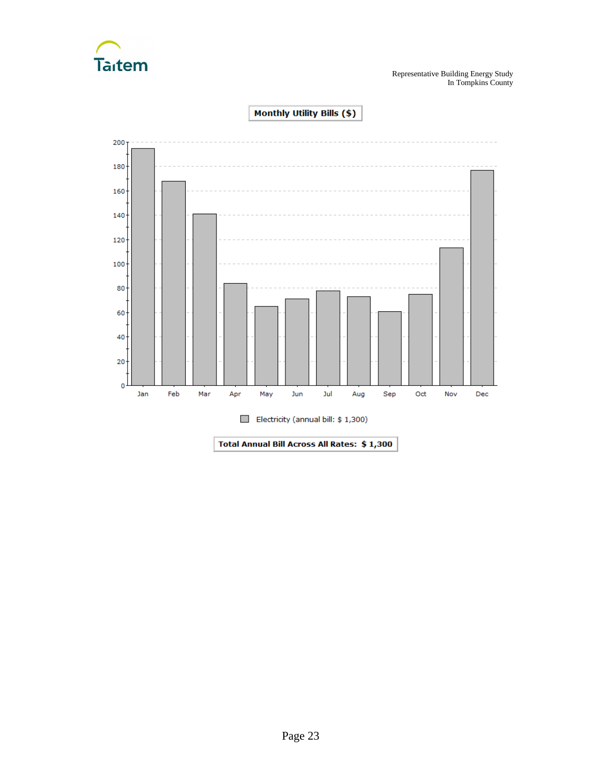

Representative Building Energy Study In Tompkins County



Monthly Utility Bills (\$)

Total Annual Bill Across All Rates: \$1,300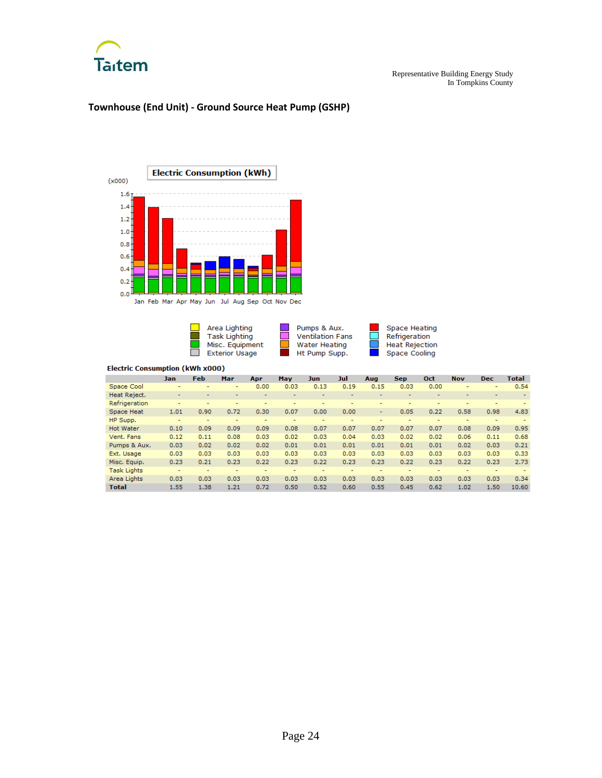

# **Townhouse (End Unit) - Ground Source Heat Pump (GSHP)**



Jan Feb Mar Apr May Jun Jul Aug Sep Oct Nov Dec

| Area Lighting         |  |
|-----------------------|--|
| Task Lighting         |  |
| Misc. Equipment       |  |
| <b>Exterior Usage</b> |  |

Pumps & Aux.<br>Ventilation Fans Water Heating Ht Pump Supp.

Space Heating<br>Refrigeration **Heat Rejection** Space Cooling

Ħ

|                    | <b>Jan</b>               | <b>Feb</b>               | Mar                      | Apr  | May  | Jun. | Jul  | Aug  | <b>Sep</b> | Oct  | <b>Nov</b> | <b>Dec</b>               | <b>Total</b>             |
|--------------------|--------------------------|--------------------------|--------------------------|------|------|------|------|------|------------|------|------------|--------------------------|--------------------------|
| Space Cool         | $\overline{\phantom{a}}$ | $\overline{\phantom{0}}$ | ۰                        | 0.00 | 0.03 | 0.13 | 0.19 | 0.15 | 0.03       | 0.00 | ٠          | $\overline{\phantom{0}}$ | 0.54                     |
| Heat Reject.       | $\overline{\phantom{a}}$ |                          |                          |      |      |      |      |      |            | ۰    |            | -                        | $\overline{\phantom{a}}$ |
| Refrigeration      | $\overline{\phantom{a}}$ |                          |                          |      |      |      | -    |      |            | ۰    | -          | $\overline{\phantom{a}}$ |                          |
| Space Heat         | 1.01                     | 0.90                     | 0.72                     | 0.30 | 0.07 | 0.00 | 0.00 | ۰    | 0.05       | 0.22 | 0.58       | 0.98                     | 4.83                     |
| HP Supp.           | $\overline{\phantom{a}}$ | ۰                        | $\overline{\phantom{0}}$ | ٠    | ۰    | ۰    | ۰    | ۰    | ٠          | ۰    | -          | $\overline{\phantom{0}}$ |                          |
| <b>Hot Water</b>   | 0.10                     | 0.09                     | 0.09                     | 0.09 | 0.08 | 0.07 | 0.07 | 0.07 | 0.07       | 0.07 | 0.08       | 0.09                     | 0.95                     |
| Vent. Fans         | 0.12                     | 0.11                     | 0.08                     | 0.03 | 0.02 | 0.03 | 0.04 | 0.03 | 0.02       | 0.02 | 0.06       | 0.11                     | 0.68                     |
| Pumps & Aux.       | 0.03                     | 0.02                     | 0.02                     | 0.02 | 0.01 | 0.01 | 0.01 | 0.01 | 0.01       | 0.01 | 0.02       | 0.03                     | 0.21                     |
| Ext. Usage         | 0.03                     | 0.03                     | 0.03                     | 0.03 | 0.03 | 0.03 | 0.03 | 0.03 | 0.03       | 0.03 | 0.03       | 0.03                     | 0.33                     |
| Misc. Equip.       | 0.23                     | 0.21                     | 0.23                     | 0.22 | 0.23 | 0.22 | 0.23 | 0.23 | 0.22       | 0.23 | 0.22       | 0.23                     | 2.73                     |
| <b>Task Lights</b> | ۰                        | ۰                        | ۰                        |      |      |      |      |      |            | ۰    | ۰          | ۰                        |                          |
| Area Lights        | 0.03                     | 0.03                     | 0.03                     | 0.03 | 0.03 | 0.03 | 0.03 | 0.03 | 0.03       | 0.03 | 0.03       | 0.03                     | 0.34                     |
| <b>Total</b>       | 1.55                     | 1.38                     | 1.21                     | 0.72 | 0.50 | 0.52 | 0.60 | 0.55 | 0.45       | 0.62 | 1.02       | 1.50                     | 10.60                    |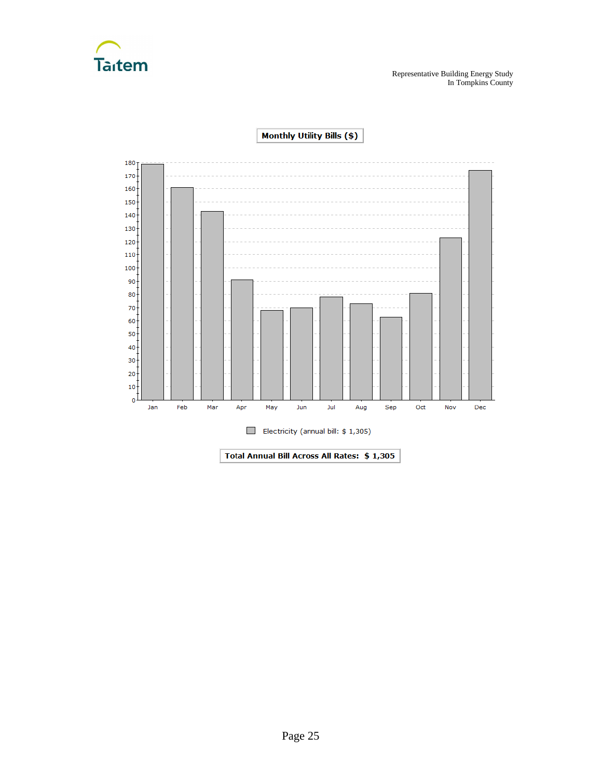



**Monthly Utility Bills (\$)**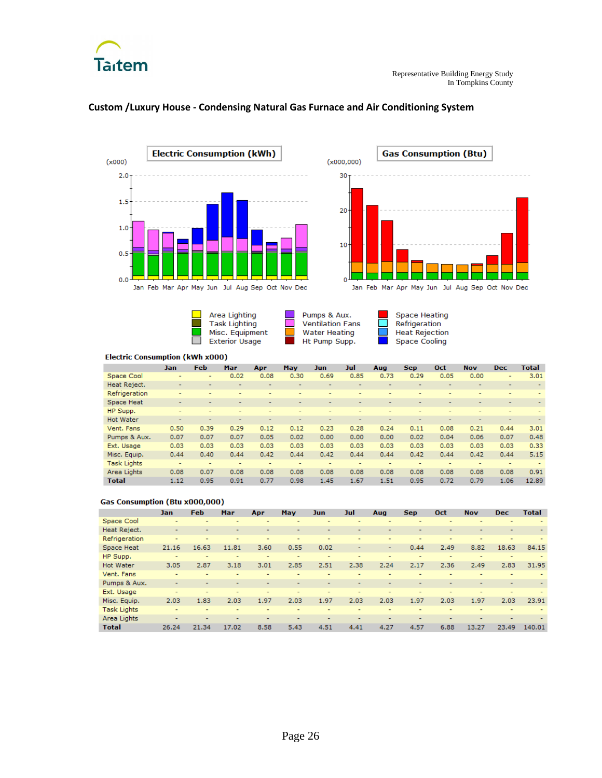



#### **Custom /Luxury House - Condensing Natural Gas Furnace and Air Conditioning System**



Jan Feb Mar Apr May Jun Jul Aug Sep Oct Nov Dec





Space Heating Refrigeration Heat Rejection **Space Cooling** 

#### **Electric Consumption (kWh x000)**

|                    | Jan                      | Feb  | Mar                      | Apr  | May  | Jun                      | Jul                      | Aug                      | <b>Sep</b>               | Oct                      | <b>Nov</b>               | <b>Dec</b>               | <b>Total</b>   |
|--------------------|--------------------------|------|--------------------------|------|------|--------------------------|--------------------------|--------------------------|--------------------------|--------------------------|--------------------------|--------------------------|----------------|
| Space Cool         | -                        | ٠    | 0.02                     | 0.08 | 0.30 | 0.69                     | 0.85                     | 0.73                     | 0.29                     | 0.05                     | 0.00                     | ۰                        | 3.01           |
| Heat Reject.       | $\overline{a}$           |      |                          |      | -    | $\overline{a}$           | $\overline{\phantom{0}}$ |                          |                          | $\overline{\phantom{0}}$ |                          |                          |                |
| Refrigeration      | $\overline{\phantom{0}}$ |      | $\overline{a}$           |      | ۰    | $\overline{\phantom{0}}$ | -                        | $\overline{\phantom{0}}$ | $\overline{a}$           | -                        | $\overline{\phantom{0}}$ | $\overline{\phantom{0}}$ |                |
| Space Heat         | $\overline{\phantom{a}}$ |      |                          | -    | -    | $\overline{\phantom{a}}$ | $\overline{\phantom{0}}$ | $\overline{\phantom{0}}$ | $\overline{\phantom{0}}$ | $\overline{\phantom{0}}$ | $\overline{\phantom{0}}$ | $\overline{\phantom{a}}$ | $\blacksquare$ |
| HP Supp.           | $\overline{\phantom{a}}$ |      |                          |      |      |                          | ۰                        |                          | ۰                        |                          |                          | ۰                        |                |
| <b>Hot Water</b>   | $\overline{\phantom{a}}$ |      | $\overline{\phantom{0}}$ |      | -    | $\overline{\phantom{a}}$ | $\overline{\phantom{0}}$ | $\overline{\phantom{0}}$ | $\overline{\phantom{0}}$ | $\overline{\phantom{0}}$ | $\overline{\phantom{0}}$ | $\overline{\phantom{0}}$ |                |
| Vent. Fans         | 0.50                     | 0.39 | 0.29                     | 0.12 | 0.12 | 0.23                     | 0.28                     | 0.24                     | 0.11                     | 0.08                     | 0.21                     | 0.44                     | 3.01           |
| Pumps & Aux.       | 0.07                     | 0.07 | 0.07                     | 0.05 | 0.02 | 0.00                     | 0.00                     | 0.00                     | 0.02                     | 0.04                     | 0.06                     | 0.07                     | 0.48           |
| Ext. Usage         | 0.03                     | 0.03 | 0.03                     | 0.03 | 0.03 | 0.03                     | 0.03                     | 0.03                     | 0.03                     | 0.03                     | 0.03                     | 0.03                     | 0.33           |
| Misc. Equip.       | 0.44                     | 0.40 | 0.44                     | 0.42 | 0.44 | 0.42                     | 0.44                     | 0.44                     | 0.42                     | 0.44                     | 0.42                     | 0.44                     | 5.15           |
| <b>Task Lights</b> | ۰                        |      |                          |      |      | -                        | -                        |                          | -                        | ۰                        |                          | ۰                        |                |
| Area Lights        | 0.08                     | 0.07 | 0.08                     | 0.08 | 0.08 | 0.08                     | 0.08                     | 0.08                     | 0.08                     | 0.08                     | 0.08                     | 0.08                     | 0.91           |
| <b>Total</b>       | 1.12                     | 0.95 | 0.91                     | 0.77 | 0.98 | 1.45                     | 1.67                     | 1.51                     | 0.95                     | 0.72                     | 0.79                     | 1.06                     | 12.89          |

#### **Gas Consumption (Btu x000,000)**

|                    | Jan                      | Feb   | Mar                      | Apr                      | <b>May</b>               | <b>Jun</b> | Jul                      | Aug                      | <b>Sep</b>               | <b>Oct</b>               | <b>Nov</b>               | <b>Dec</b>     | <b>Total</b> |
|--------------------|--------------------------|-------|--------------------------|--------------------------|--------------------------|------------|--------------------------|--------------------------|--------------------------|--------------------------|--------------------------|----------------|--------------|
| Space Cool         | $\overline{\phantom{0}}$ |       |                          | -                        |                          |            |                          | -                        | -                        |                          |                          |                |              |
| Heat Reject.       |                          |       |                          |                          |                          | ۰          | -                        | $\overline{\phantom{0}}$ | ۰                        |                          |                          |                |              |
| Refrigeration      | $\overline{\phantom{0}}$ |       | $\overline{\phantom{0}}$ | ۰                        | -                        | ۰          | $\overline{\phantom{0}}$ | ۰                        | -                        | $\overline{\phantom{0}}$ | $\overline{\phantom{0}}$ | $\overline{a}$ |              |
| Space Heat         | 21.16                    | 16.63 | 11.81                    | 3.60                     | 0.55                     | 0.02       | $\overline{\phantom{0}}$ | ٠                        | 0.44                     | 2.49                     | 8.82                     | 18.63          | 84.15        |
| HP Supp.           | ۰                        |       |                          | ۰                        | $\overline{\phantom{0}}$ | ۰          |                          | $\overline{\phantom{0}}$ | -                        | $\overline{\phantom{0}}$ |                          |                |              |
| <b>Hot Water</b>   | 3.05                     | 2.87  | 3.18                     | 3.01                     | 2.85                     | 2.51       | 2.38                     | 2.24                     | 2.17                     | 2.36                     | 2.49                     | 2.83           | 31.95        |
| Vent. Fans         |                          |       | $\overline{\phantom{0}}$ | -                        |                          |            |                          | $\overline{\phantom{0}}$ |                          | $\overline{a}$           |                          |                |              |
| Pumps & Aux.       | $\overline{\phantom{a}}$ |       |                          | $\overline{\phantom{0}}$ |                          | -          |                          | $\overline{\phantom{0}}$ | $\overline{\phantom{0}}$ | -                        |                          | $\overline{a}$ |              |
| Ext. Usage         | $\overline{\phantom{a}}$ |       | ۰                        |                          | -                        |            | -                        | ۰                        | ۰                        | $\overline{a}$           | $\overline{\phantom{0}}$ | -              |              |
| Misc. Equip.       | 2.03                     | 1.83  | 2.03                     | 1.97                     | 2.03                     | 1.97       | 2.03                     | 2.03                     | 1.97                     | 2.03                     | 1.97                     | 2.03           | 23.91        |
| <b>Task Lights</b> |                          |       |                          |                          |                          | -          |                          |                          | -                        | $\overline{a}$           |                          |                |              |
| Area Lights        | $\overline{\phantom{a}}$ |       |                          |                          |                          |            |                          |                          |                          |                          |                          |                |              |
| <b>Total</b>       | 26.24                    | 21.34 | 17.02                    | 8.58                     | 5.43                     | 4.51       | 4.41                     | 4.27                     | 4.57                     | 6.88                     | 13.27                    | 23.49          | 140.01       |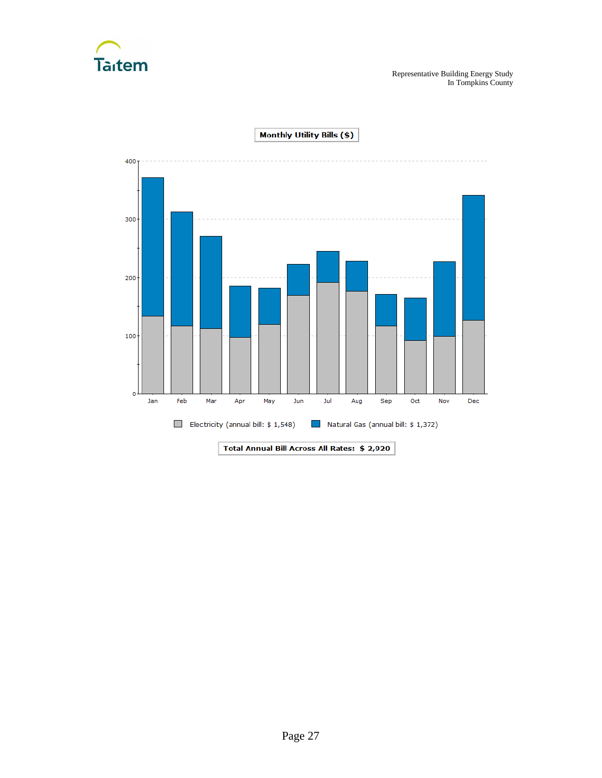

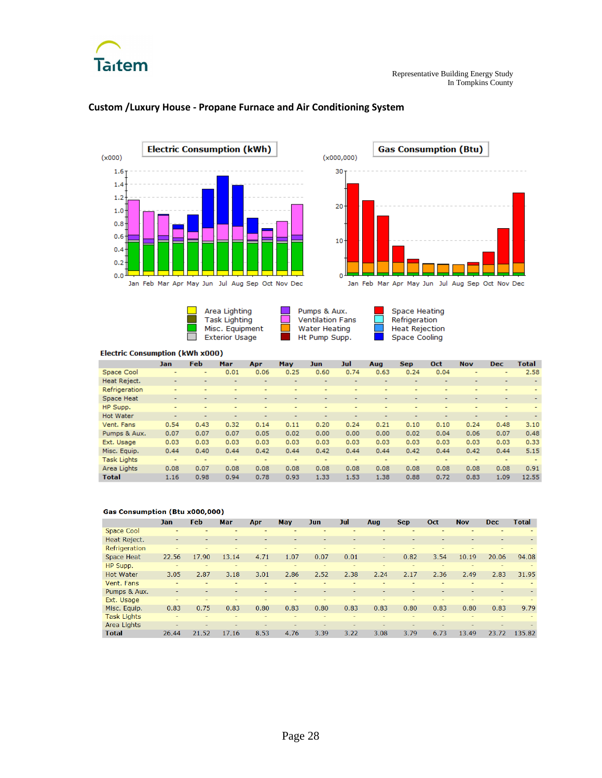



### **Custom /Luxury House - Propane Furnace and Air Conditioning System**



 $\Box$ Area Lighting Task Lighting Misc. Equipment  $\Box$ **Exterior Usage** 



**Space Heating** Refrigeration **Heat Rejection** Space Cooling

#### **Electric Consumption (kWh x000)**

|                    | Jan                      | Feb            | Mar  | Apr                      | May                      | Jun. | Jul                      | Aug                      | <b>Sep</b>               | Oct                      | <b>Nov</b>               | <b>Dec</b>               | <b>Total</b> |
|--------------------|--------------------------|----------------|------|--------------------------|--------------------------|------|--------------------------|--------------------------|--------------------------|--------------------------|--------------------------|--------------------------|--------------|
| Space Cool         | -                        | $\sim$         | 0.01 | 0.06                     | 0.25                     | 0.60 | 0.74                     | 0.63                     | 0.24                     | 0.04                     | ۰                        | $\overline{\phantom{a}}$ | 2.58         |
| Heat Reject.       | $\overline{\phantom{0}}$ |                | -    | $\overline{\phantom{0}}$ | $\overline{\phantom{0}}$ | -    | $\overline{\phantom{a}}$ | $\overline{\phantom{0}}$ | $\overline{\phantom{0}}$ | $\overline{\phantom{0}}$ | $\overline{\phantom{0}}$ | $\overline{\phantom{0}}$ |              |
| Refrigeration      | $\overline{\phantom{0}}$ |                | ۰    | -                        | $\overline{\phantom{0}}$ | -    | -                        | $\overline{\phantom{0}}$ | $\overline{\phantom{0}}$ | ۰                        | $\overline{\phantom{0}}$ | $\overline{\phantom{0}}$ |              |
| Space Heat         | $\overline{\phantom{a}}$ |                | ۰.   |                          | $\overline{\phantom{a}}$ |      |                          |                          | $\overline{\phantom{a}}$ | ۰                        | -                        | $\overline{\phantom{a}}$ |              |
| HP Supp.           | ۰                        |                | ۰    |                          | $\overline{\phantom{a}}$ | ۰.   | ۰                        | $\overline{\phantom{a}}$ | $\overline{a}$           | ۰                        | ۰                        | $\overline{a}$           |              |
| <b>Hot Water</b>   | $\overline{\phantom{0}}$ |                | ۰.   | -                        | $\overline{\phantom{0}}$ | -    |                          | $\overline{\phantom{0}}$ | $\overline{\phantom{0}}$ | -                        | $\overline{\phantom{0}}$ | $\overline{\phantom{0}}$ |              |
| Vent. Fans         | 0.54                     | 0.43           | 0.32 | 0.14                     | 0.11                     | 0.20 | 0.24                     | 0.21                     | 0.10                     | 0.10                     | 0.24                     | 0.48                     | 3.10         |
| Pumps & Aux.       | 0.07                     | 0.07           | 0.07 | 0.05                     | 0.02                     | 0.00 | 0.00                     | 0.00                     | 0.02                     | 0.04                     | 0.06                     | 0.07                     | 0.48         |
| Ext. Usage         | 0.03                     | 0.03           | 0.03 | 0.03                     | 0.03                     | 0.03 | 0.03                     | 0.03                     | 0.03                     | 0.03                     | 0.03                     | 0.03                     | 0.33         |
| Misc. Equip.       | 0.44                     | 0.40           | 0.44 | 0.42                     | 0.44                     | 0.42 | 0.44                     | 0.44                     | 0.42                     | 0.44                     | 0.42                     | 0.44                     | 5.15         |
| <b>Task Lights</b> | ۰                        | $\overline{a}$ | ۰    | $\overline{\phantom{0}}$ | $\overline{\phantom{0}}$ | ۰    | -                        | ۰                        | $\overline{a}$           | ۰                        | $\overline{\phantom{0}}$ | $\overline{\phantom{0}}$ |              |
| Area Lights        | 0.08                     | 0.07           | 0.08 | 0.08                     | 0.08                     | 0.08 | 0.08                     | 0.08                     | 0.08                     | 0.08                     | 0.08                     | 0.08                     | 0.91         |
| <b>Total</b>       | 1.16                     | 0.98           | 0.94 | 0.78                     | 0.93                     | 1.33 | 1.53                     | 1.38                     | 0.88                     | 0.72                     | 0.83                     | 1.09                     | 12.55        |

#### Gas Consumption (Btu x000,000)

|                    | <b>Jan</b>               | <b>Feb</b> | Mar   | Apr  | <b>May</b> | Jun  | Jul  | Aug  | <b>Sep</b> | Oct                      | <b>Nov</b> | <b>Dec</b>               | <b>Total</b> |
|--------------------|--------------------------|------------|-------|------|------------|------|------|------|------------|--------------------------|------------|--------------------------|--------------|
| <b>Space Cool</b>  |                          |            |       |      |            |      |      |      |            |                          |            |                          |              |
| Heat Reject.       |                          |            |       |      |            |      |      |      |            |                          |            |                          |              |
| Refrigeration      | $\overline{\phantom{a}}$ |            |       |      | ۰          |      |      | -    |            | $\overline{\phantom{a}}$ | ۰          | ۰                        |              |
| <b>Space Heat</b>  | 22.56                    | 17.90      | 13.14 | 4.71 | 1.07       | 0.07 | 0.01 | -    | 0.82       | 3.54                     | 10.19      | 20.06                    | 94.08        |
| HP Supp.           |                          |            |       |      |            |      |      |      |            |                          |            |                          |              |
| <b>Hot Water</b>   | 3.05                     | 2.87       | 3.18  | 3.01 | 2.86       | 2.52 | 2.38 | 2.24 | 2.17       | 2.36                     | 2.49       | 2.83                     | 31.95        |
| Vent. Fans         | -                        |            |       |      |            |      |      | -    |            |                          |            | -                        |              |
| Pumps & Aux.       | -                        |            |       |      |            |      |      |      |            |                          |            |                          |              |
| Ext. Usage         | $\overline{\phantom{a}}$ |            |       |      |            |      |      | ۰    |            |                          | ۰          | ۰                        |              |
| Misc. Equip.       | 0.83                     | 0.75       | 0.83  | 0.80 | 0.83       | 0.80 | 0.83 | 0.83 | 0.80       | 0.83                     | 0.80       | 0.83                     | 9.79         |
| <b>Task Lights</b> |                          |            |       |      |            |      |      |      |            |                          |            | $\overline{\phantom{a}}$ |              |
| Area Lights        | -                        |            |       |      |            |      |      |      |            |                          |            |                          |              |
| <b>Total</b>       | 26.44                    | 21.52      | 17.16 | 8.53 | 4.76       | 3.39 | 3.22 | 3.08 | 3.79       | 6.73                     | 13.49      | 23.72                    | 135.82       |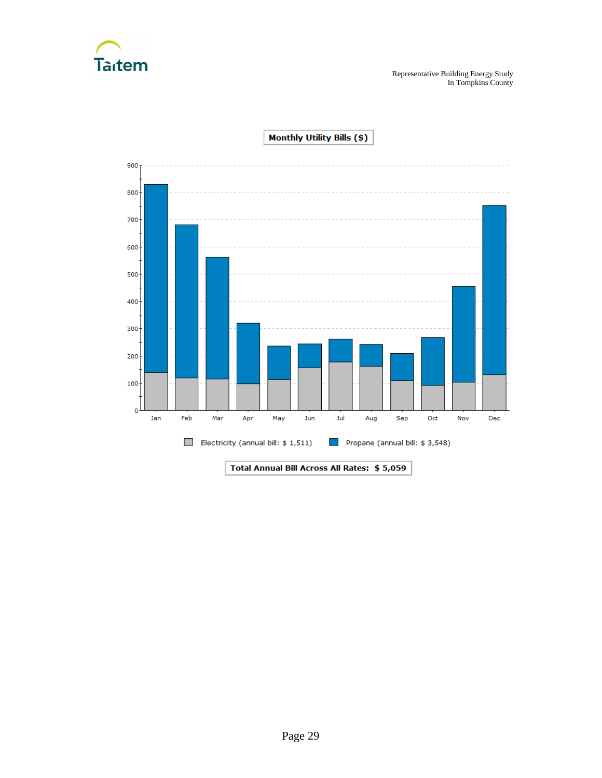



Monthly Utility Bills (\$)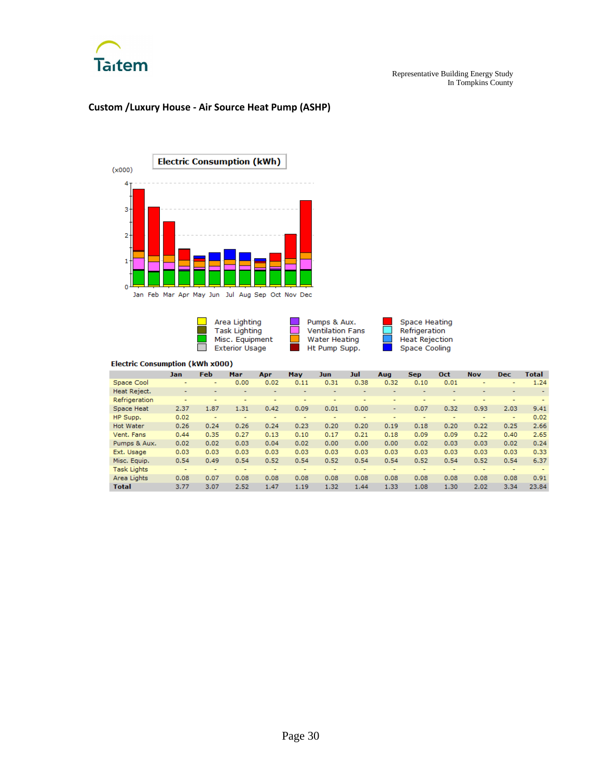

### **Custom /Luxury House - Air Source Heat Pump (ASHP)**



Area Lighting<br>Task Lighting Pumps & Aux.<br>Ventilation Fans Space Heating<br>Refrigeration  $\Box$  $\overline{\phantom{a}}$ Heat Rejection Misc. Equipment **Water Heating**  $\Box$ Exterior Usage Ht Pump Supp. Space Cooling and in J

|                    | Jan.           | <b>Feb</b>               | Mar                      | Apr  | <b>May</b> | Jun.                     | Jul                      | Aug                      | <b>Sep</b>               | Oct                      | <b>Nov</b>               | <b>Dec</b>               | <b>Total</b> |
|--------------------|----------------|--------------------------|--------------------------|------|------------|--------------------------|--------------------------|--------------------------|--------------------------|--------------------------|--------------------------|--------------------------|--------------|
| Space Cool         | $\overline{a}$ | ۰.                       | 0.00                     | 0.02 | 0.11       | 0.31                     | 0.38                     | 0.32                     | 0.10                     | 0.01                     | $\overline{\phantom{a}}$ | ۰                        | 1.24         |
| Heat Reject.       | ۰              |                          |                          |      |            | $\overline{\phantom{0}}$ | $\overline{\phantom{0}}$ | $\overline{\phantom{0}}$ | $\overline{\phantom{0}}$ | $\overline{\phantom{0}}$ |                          | $\overline{\phantom{0}}$ |              |
| Refrigeration      | ۰              |                          |                          |      |            | ۰                        |                          |                          | ۰                        | ۰                        |                          |                          |              |
| Space Heat         | 2.37           | 1.87                     | 1.31                     | 0.42 | 0.09       | 0.01                     | 0.00                     | $\blacksquare$           | 0.07                     | 0.32                     | 0.93                     | 2.03                     | 9.41         |
| HP Supp.           | 0.02           | $\overline{\phantom{a}}$ | -                        | ۰    |            | ۰                        | ۰                        | -                        | ٠                        | $\overline{\phantom{a}}$ |                          | ۰                        | 0.02         |
| <b>Hot Water</b>   | 0.26           | 0.24                     | 0.26                     | 0.24 | 0.23       | 0.20                     | 0.20                     | 0.19                     | 0.18                     | 0.20                     | 0.22                     | 0.25                     | 2.66         |
| Vent. Fans         | 0.44           | 0.35                     | 0.27                     | 0.13 | 0.10       | 0.17                     | 0.21                     | 0.18                     | 0.09                     | 0.09                     | 0.22                     | 0.40                     | 2.65         |
| Pumps & Aux.       | 0.02           | 0.02                     | 0.03                     | 0.04 | 0.02       | 0.00                     | 0.00                     | 0.00                     | 0.02                     | 0.03                     | 0.03                     | 0.02                     | 0.24         |
| Ext. Usage         | 0.03           | 0.03                     | 0.03                     | 0.03 | 0.03       | 0.03                     | 0.03                     | 0.03                     | 0.03                     | 0.03                     | 0.03                     | 0.03                     | 0.33         |
| Misc. Equip.       | 0.54           | 0.49                     | 0.54                     | 0.52 | 0.54       | 0.52                     | 0.54                     | 0.54                     | 0.52                     | 0.54                     | 0.52                     | 0.54                     | 6.37         |
| <b>Task Lights</b> | $\overline{a}$ | $\overline{\phantom{0}}$ | $\overline{\phantom{0}}$ | -    | -          |                          | $\overline{\phantom{0}}$ | $\overline{\phantom{0}}$ | ۰                        | $\overline{\phantom{0}}$ | $\overline{\phantom{0}}$ | ۰                        |              |
| Area Lights        | 0.08           | 0.07                     | 0.08                     | 0.08 | 0.08       | 0.08                     | 0.08                     | 0.08                     | 0.08                     | 0.08                     | 0.08                     | 0.08                     | 0.91         |
| <b>Total</b>       | 3.77           | 3.07                     | 2.52                     | 1.47 | 1.19       | 1.32                     | 1.44                     | 1.33                     | 1.08                     | 1.30                     | 2.02                     | 3.34                     | 23.84        |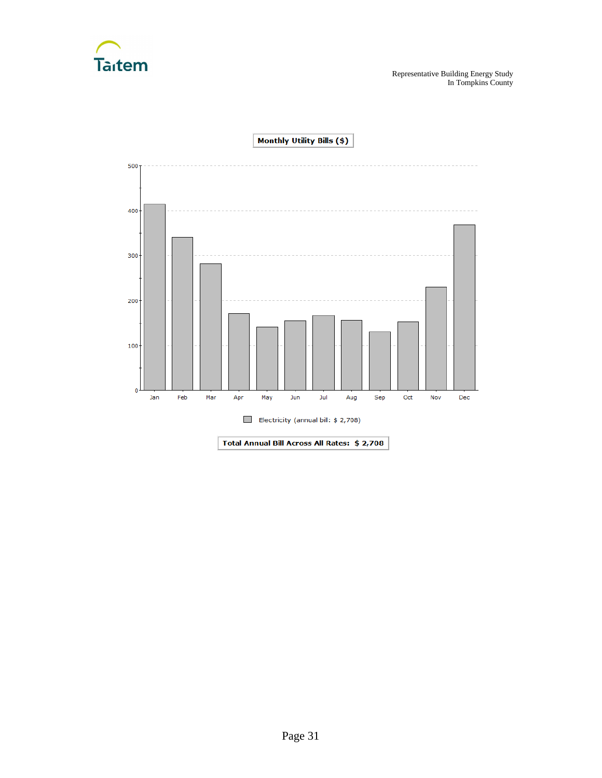



Page 31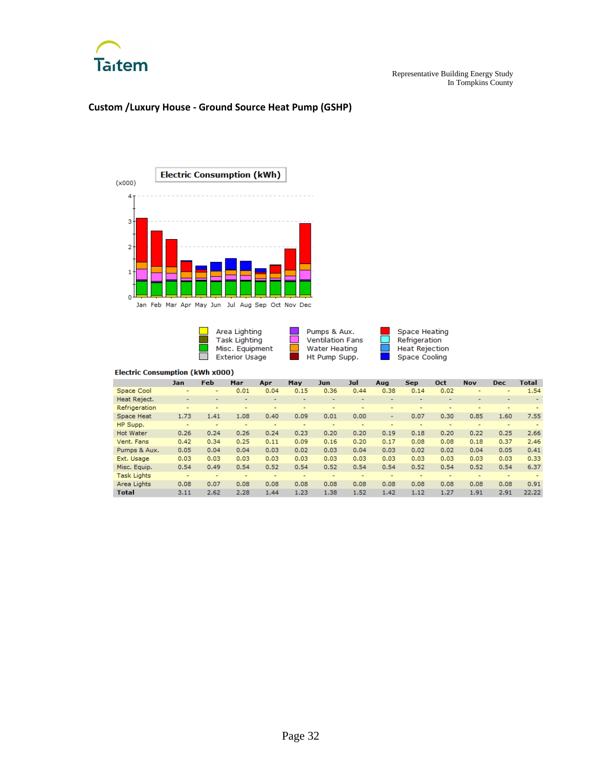

### **Custom /Luxury House - Ground Source Heat Pump (GSHP)**



Area Lighting Task Lighting<br>Misc. Equipment<br>Exterior Usage  $\overline{\phantom{a}}$ 

Pumps & Aux. Ventilation Fans **Water Heating** Ht Pump Supp.

 $\equiv$ 

 $\mathcal{L}^{\text{max}}$ 

**Space Heating** Refrigeration Heat Rejection<br>Space Cooling

Ţ

**First** 

|                    | Jan  | <b>Feb</b> | Mar                      | Apr  | May  | Jun  | Jul  | Aug                      | <b>Sep</b> | Oct  | <b>Nov</b> | <b>Dec</b>               | Total |
|--------------------|------|------------|--------------------------|------|------|------|------|--------------------------|------------|------|------------|--------------------------|-------|
| Space Cool         | ۰    |            | 0.01                     | 0.04 | 0.15 | 0.36 | 0.44 | 0.38                     | 0.14       | 0.02 | ۰          |                          | 1.54  |
| Heat Reject.       | ۰    |            |                          |      |      |      | ۰    | -                        |            |      |            | $\overline{\phantom{a}}$ |       |
| Refrigeration      |      |            |                          | ۰    |      |      | ۰    |                          | ۰          | ۰    | ۰          |                          |       |
| Space Heat         | 1.73 | 1.41       | 1.08                     | 0.40 | 0.09 | 0.01 | 0.00 | ٠                        | 0.07       | 0.30 | 0.85       | 1.60                     | 7.55  |
| HP Supp.           | ٠    |            |                          | ۰    | ۰    |      | ۰    | ۰                        | ۰          |      | ۰          |                          |       |
| <b>Hot Water</b>   | 0.26 | 0.24       | 0.26                     | 0.24 | 0.23 | 0.20 | 0.20 | 0.19                     | 0.18       | 0.20 | 0.22       | 0.25                     | 2.66  |
| Vent. Fans         | 0.42 | 0.34       | 0.25                     | 0.11 | 0.09 | 0.16 | 0.20 | 0.17                     | 0.08       | 0.08 | 0.18       | 0.37                     | 2.46  |
| Pumps & Aux.       | 0.05 | 0.04       | 0.04                     | 0.03 | 0.02 | 0.03 | 0.04 | 0.03                     | 0.02       | 0.02 | 0.04       | 0.05                     | 0.41  |
| Ext. Usage         | 0.03 | 0.03       | 0.03                     | 0.03 | 0.03 | 0.03 | 0.03 | 0.03                     | 0.03       | 0.03 | 0.03       | 0.03                     | 0.33  |
| Misc. Equip.       | 0.54 | 0.49       | 0.54                     | 0.52 | 0.54 | 0.52 | 0.54 | 0.54                     | 0.52       | 0.54 | 0.52       | 0.54                     | 6.37  |
| <b>Task Lights</b> | ۰    | ۰          | $\overline{\phantom{a}}$ | ۰    | ۰    | ۰    | ۰    | $\overline{\phantom{a}}$ | ۰          | ٠    | ۰          | $\sim$                   |       |
| Area Lights        | 0.08 | 0.07       | 0.08                     | 0.08 | 0.08 | 0.08 | 0.08 | 0.08                     | 0.08       | 0.08 | 0.08       | 0.08                     | 0.91  |
| <b>Total</b>       | 3.11 | 2.62       | 2.28                     | 1.44 | 1.23 | 1.38 | 1.52 | 1.42                     | 1.12       | 1.27 | 1.91       | 2.91                     | 22.22 |